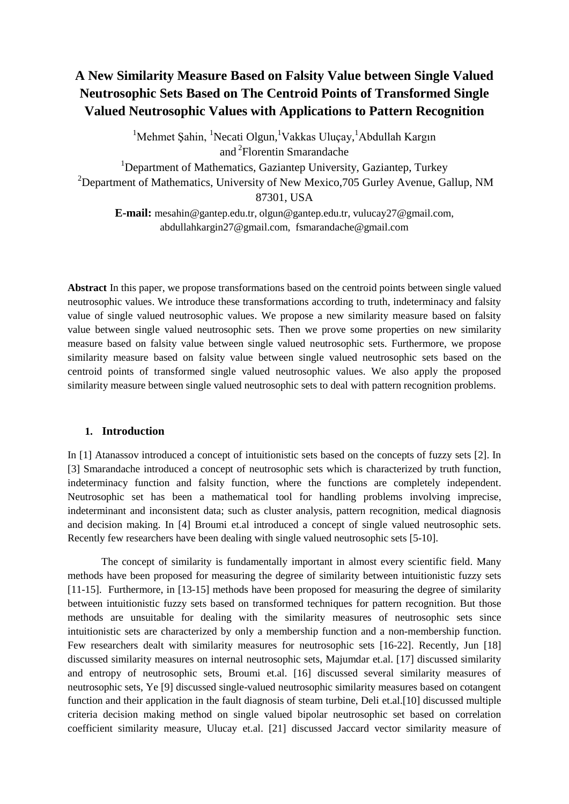# **A New Similarity Measure Based on Falsity Value between Single Valued Neutrosophic Sets Based on The Centroid Points of Transformed Single Valued Neutrosophic Values with Applications to Pattern Recognition**

<sup>1</sup>Mehmet Şahin, <sup>1</sup>Necati Olgun, <sup>1</sup>Vakkas Uluçay, <sup>1</sup>Abdullah Kargın and <sup>2</sup> Florentin Smarandache

<sup>1</sup>Department of Mathematics, Gaziantep University, Gaziantep, Turkey <sup>2</sup>Department of Mathematics, University of New Mexico, 705 Gurley Avenue, Gallup, NM 87301, USA

**E-mail:** [mesahin@gantep.edu.tr,](mailto:mesahin@gantep.edu.tr) olgun@gantep.edu.tr, [vulucay27@gmail.com,](mailto:vulucay27@gmail.com) abdullahkargin27@gmail.com, fsmarandache@gmail.com

**Abstract** In this paper, we propose transformations based on the centroid points between single valued neutrosophic values. We introduce these transformations according to truth, indeterminacy and falsity value of single valued neutrosophic values. We propose a new similarity measure based on falsity value between single valued neutrosophic sets. Then we prove some properties on new similarity measure based on falsity value between single valued neutrosophic sets. Furthermore, we propose similarity measure based on falsity value between single valued neutrosophic sets based on the centroid points of transformed single valued neutrosophic values. We also apply the proposed similarity measure between single valued neutrosophic sets to deal with pattern recognition problems.

#### **1. Introduction**

In [1] Atanassov introduced a concept of intuitionistic sets based on the concepts of fuzzy sets [2]. In [3] Smarandache introduced a concept of neutrosophic sets which is characterized by truth function, indeterminacy function and falsity function, where the functions are completely independent. Neutrosophic set has been a mathematical tool for handling problems involving imprecise, indeterminant and inconsistent data; such as cluster analysis, pattern recognition, medical diagnosis and decision making. In [4] Broumi et.al introduced a concept of single valued neutrosophic sets. Recently few researchers have been dealing with single valued neutrosophic sets [5-10].

The concept of similarity is fundamentally important in almost every scientific field. Many methods have been proposed for measuring the degree of similarity between intuitionistic fuzzy sets [11-15]. Furthermore, in [13-15] methods have been proposed for measuring the degree of similarity between intuitionistic fuzzy sets based on transformed techniques for pattern recognition. But those methods are unsuitable for dealing with the similarity measures of neutrosophic sets since intuitionistic sets are characterized by only a membership function and a non-membership function. Few researchers dealt with similarity measures for neutrosophic sets [16-22]. Recently, Jun [18] discussed similarity measures on internal neutrosophic sets, Majumdar et.al. [17] discussed similarity and entropy of neutrosophic sets, Broumi et.al. [16] discussed several similarity measures of neutrosophic sets, Ye [9] discussed single-valued neutrosophic similarity measures based on cotangent function and their application in the fault diagnosis of steam turbine, Deli et.al.[10] discussed multiple criteria decision making method on single valued bipolar neutrosophic set based on correlation coefficient similarity measure, Ulucay et.al. [21] discussed Jaccard vector similarity measure of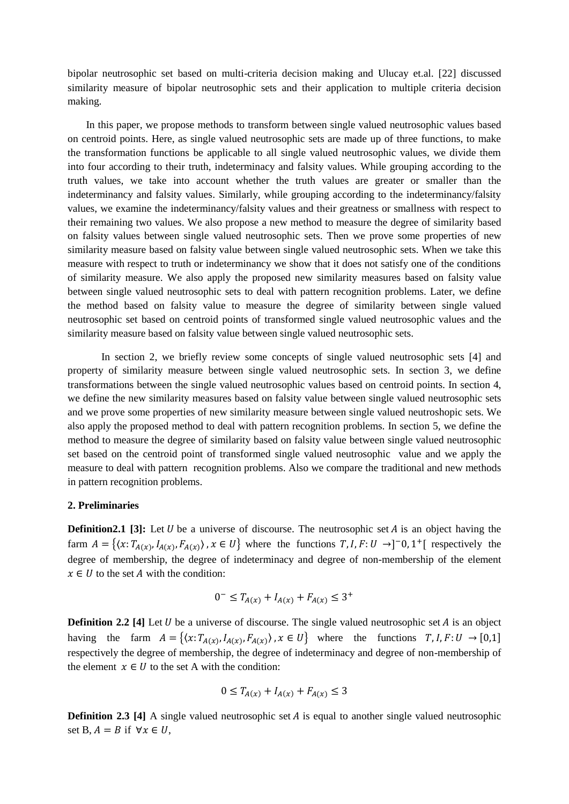bipolar neutrosophic set based on multi-criteria decision making and Ulucay et.al. [22] discussed similarity measure of bipolar neutrosophic sets and their application to multiple criteria decision making.

 In this paper, we propose methods to transform between single valued neutrosophic values based on centroid points. Here, as single valued neutrosophic sets are made up of three functions, to make the transformation functions be applicable to all single valued neutrosophic values, we divide them into four according to their truth, indeterminacy and falsity values. While grouping according to the truth values, we take into account whether the truth values are greater or smaller than the indeterminancy and falsity values. Similarly, while grouping according to the indeterminancy/falsity values, we examine the indeterminancy/falsity values and their greatness or smallness with respect to their remaining two values. We also propose a new method to measure the degree of similarity based on falsity values between single valued neutrosophic sets. Then we prove some properties of new similarity measure based on falsity value between single valued neutrosophic sets. When we take this measure with respect to truth or indeterminancy we show that it does not satisfy one of the conditions of similarity measure. We also apply the proposed new similarity measures based on falsity value between single valued neutrosophic sets to deal with pattern recognition problems. Later, we define the method based on falsity value to measure the degree of similarity between single valued neutrosophic set based on centroid points of transformed single valued neutrosophic values and the similarity measure based on falsity value between single valued neutrosophic sets.

In section 2, we briefly review some concepts of single valued neutrosophic sets [4] and property of similarity measure between single valued neutrosophic sets. In section 3, we define transformations between the single valued neutrosophic values based on centroid points. In section 4, we define the new similarity measures based on falsity value between single valued neutrosophic sets and we prove some properties of new similarity measure between single valued neutroshopic sets. We also apply the proposed method to deal with pattern recognition problems. In section 5, we define the method to measure the degree of similarity based on falsity value between single valued neutrosophic set based on the centroid point of transformed single valued neutrosophic value and we apply the measure to deal with pattern recognition problems. Also we compare the traditional and new methods in pattern recognition problems.

#### **2. Preliminaries**

**Definition2.1** [3]: Let  $U$  be a universe of discourse. The neutrosophic set  $A$  is an object having the farm  $A = \{ (x: T_{A(x)}, I_{A(x)}, F_{A(x)})$ ,  $x \in U \}$  where the functions  $T, I, F: U \rightarrow ]-0, 1^+[$  respectively the degree of membership, the degree of indeterminacy and degree of non-membership of the element  $x \in U$  to the set A with the condition:

$$
0^{-} \leq T_{A(x)} + I_{A(x)} + F_{A(x)} \leq 3^{+}
$$

**Definition 2.2 [4]** Let *U* be a universe of discourse. The single valued neutrosophic set *A* is an object having the farm  $A = \{ (x: T_{A(x)}, I_{A(x)}, F_{A(x)}) \mid x \in U \}$  where the functions  $T, I, F: U \to [0,1]$ respectively the degree of membership, the degree of indeterminacy and degree of non-membership of the element  $x \in U$  to the set A with the condition:

$$
0 \le T_{A(x)} + I_{A(x)} + F_{A(x)} \le 3
$$

**Definition 2.3 [4]** A single valued neutrosophic set *A* is equal to another single valued neutrosophic set B,  $A = B$  if  $\forall x \in U$ ,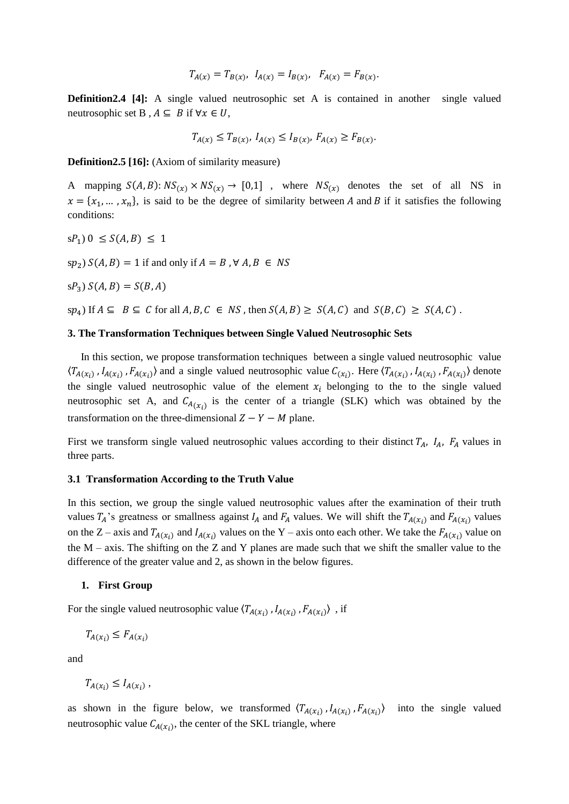$$
T_{A(x)} = T_{B(x)}, \ I_{A(x)} = I_{B(x)}, \ F_{A(x)} = F_{B(x)}.
$$

**Definition2.4 [4]:** A single valued neutrosophic set A is contained in another single valued neutrosophic set B,  $A \subseteq B$  if  $\forall x \in U$ ,

$$
T_{A(x)} \le T_{B(x)}, \ I_{A(x)} \le I_{B(x)}, \ F_{A(x)} \ge F_{B(x)}.
$$

**Definition2.5 [16]:** (Axiom of similarity measure)

A mapping  $S(A, B)$ :  $NS_{(\chi)} \times NS_{(\chi)} \rightarrow [0,1]$ , where  $NS_{(\chi)}$  denotes the set of all NS in  $x = \{x_1, \dots, x_n\}$ , is said to be the degree of similarity between A and B if it satisfies the following conditions:

 $sP_1$ )  $0 \leq S(A, B) \leq 1$ 

 $sp_2$ )  $S(A, B) = 1$  if and only if  $A = B$ ,  $\forall A, B \in NS$ 

 $S(P_3) S(A, B) = S(B, A)$ 

 $sp_4$ ) If  $A \subseteq B \subseteq C$  for all  $A, B, C \in NS$ , then  $S(A, B) \geq S(A, C)$  and  $S(B, C) \geq S(A, C)$ .

#### **3. The Transformation Techniques between Single Valued Neutrosophic Sets**

 In this section, we propose transformation techniques between a single valued neutrosophic value  $\langle T_{A(x_i)}$ ,  $I_{A(x_i)}$ ,  $F_{A(x_i)}\rangle$  and a single valued neutrosophic value  $C_{(x_i)}$ . Here  $\langle T_{A(x_i)}$ ,  $I_{A(x_i)}$ ,  $F_{A(x_i)}\rangle$  denote the single valued neutrosophic value of the element  $x_i$  belonging to the to the single valued neutrosophic set A, and  $C_{A(x_i)}$  is the center of a triangle (SLK) which was obtained by the transformation on the three-dimensional  $Z - Y - M$  plane.

First we transform single valued neutrosophic values according to their distinct  $T_A$ ,  $I_A$ ,  $F_A$  values in three parts.

#### **3.1 Transformation According to the Truth Value**

In this section, we group the single valued neutrosophic values after the examination of their truth values  $T_A$ 's greatness or smallness against  $I_A$  and  $F_A$  values. We will shift the  $T_{A(x_i)}$  and  $F_{A(x_i)}$  values on the Z – axis and  $T_{A(x_i)}$  and  $I_{A(x_i)}$  values on the Y – axis onto each other. We take the  $F_{A(x_i)}$  value on the  $M$  – axis. The shifting on the Z and Y planes are made such that we shift the smaller value to the difference of the greater value and 2, as shown in the below figures.

#### **1. First Group**

For the single valued neutrosophic value  $\langle T_{A}(x_i), I_{A}(x_i), F_{A}(x_i) \rangle$ , if

$$
T_{A(x_i)} \leq F_{A(x_i)}
$$

and

 $T_{A(x_i)} \leq I_{A(x_i)}$ ,

as shown in the figure below, we transformed  $\langle T_{A}(x_i), I_{A}(x_i), F_{A}(x_i) \rangle$ into the single valued neutrosophic value  $C_{A(x_i)}$ , the center of the SKL triangle, where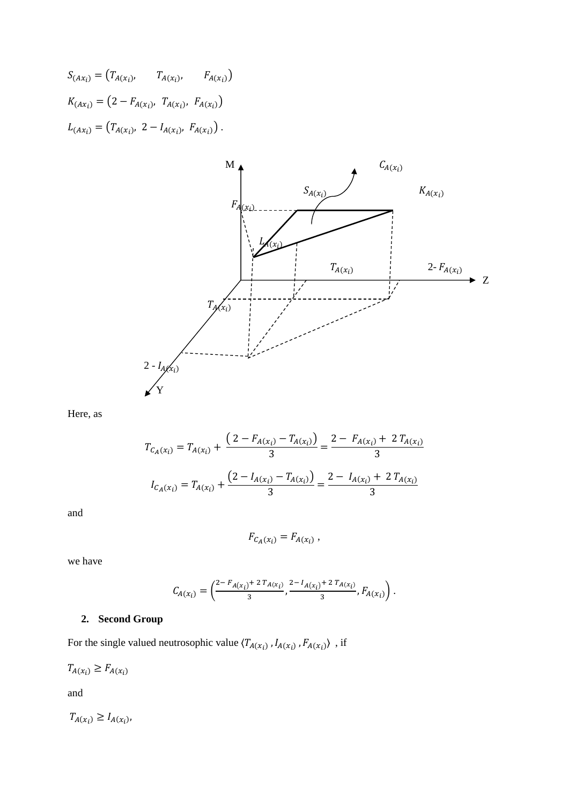$$
S_{(Ax_i)} = (T_{A(x_i)}, \t T_{A(x_i)}, \t F_{A(x_i)})
$$
  
\n
$$
K_{(Ax_i)} = (2 - F_{A(x_i)}, T_{A(x_i)}, F_{A(x_i)})
$$
  
\n
$$
L_{(Ax_i)} = (T_{A(x_i)}, 2 - I_{A(x_i)}, F_{A(x_i)})
$$



Here, as

$$
T_{C_A(x_i)} = T_{A(x_i)} + \frac{\left(2 - F_{A(x_i)} - T_{A(x_i)}\right)}{3} = \frac{2 - F_{A(x_i)} + 2T_{A(x_i)}}{3}
$$

$$
I_{C_A(x_i)} = T_{A(x_i)} + \frac{\left(2 - I_{A(x_i)} - T_{A(x_i)}\right)}{3} = \frac{2 - I_{A(x_i)} + 2T_{A(x_i)}}{3}
$$

and

$$
F_{C_A(x_i)} = F_{A(x_i)} ,
$$

we have

$$
C_{A(x_i)} = \left(\frac{2 - F_{A(x_i)} + 2 T_{A(x_i)}}{3}, \frac{2 - I_{A(x_i)} + 2 T_{A(x_i)}}{3}, F_{A(x_i)}\right).
$$

# **2. Second Group**

For the single valued neutrosophic value  $\langle T_{A(x_i)}, I_{A(x_i)}, F_{A(x_i)} \rangle$ , if

 $T_{A(x_i)} \geq F_{A(x_i)}$ 

and

 $T_{A(x_i)} \geq I_{A(x_i)},$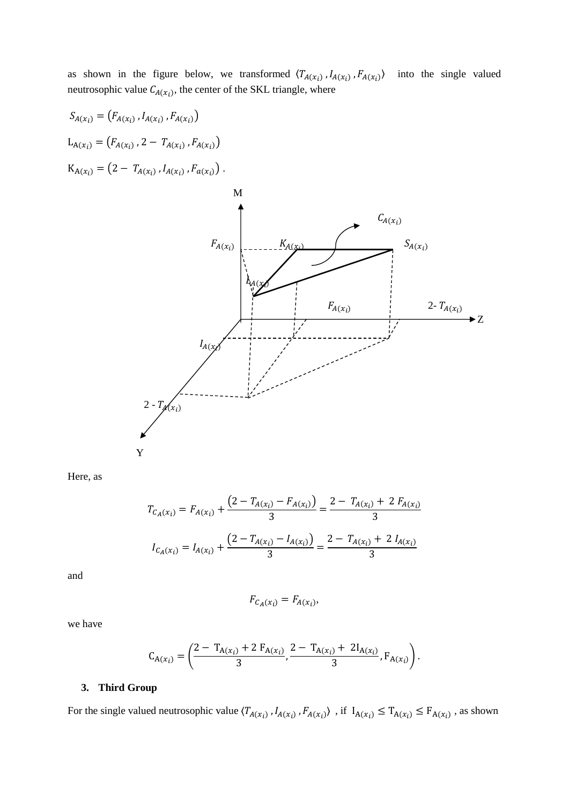as shown in the figure below, we transformed  $\langle T_{A(x_i)}, I_{A(x_i)}, F_{A(x_i)}\rangle$  into the single valued neutrosophic value  $C_{A(x_i)}$ , the center of the SKL triangle, where

$$
S_{A(x_i)} = (F_{A(x_i)}, I_{A(x_i)}, F_{A(x_i)})
$$
  
\n
$$
L_{A(x_i)} = (F_{A(x_i)}, 2 - T_{A(x_i)}, F_{A(x_i)})
$$
  
\n
$$
K_{A(x_i)} = (2 - T_{A(x_i)}, I_{A(x_i)}, F_{a(x_i)})
$$



Here, as

$$
T_{C_A(x_i)} = F_{A(x_i)} + \frac{\left(2 - T_{A(x_i)} - F_{A(x_i)}\right)}{3} = \frac{2 - T_{A(x_i)} + 2 F_{A(x_i)}}{3}
$$

$$
I_{C_A(x_i)} = I_{A(x_i)} + \frac{\left(2 - T_{A(x_i)} - I_{A(x_i)}\right)}{3} = \frac{2 - T_{A(x_i)} + 2 I_{A(x_i)}}{3}
$$

and

$$
F_{C_A(x_i)} = F_{A(x_i)},
$$

we have

$$
C_{A(x_i)} = \left(\frac{2 - T_{A(x_i)} + 2 F_{A(x_i)}}{3}, \frac{2 - T_{A(x_i)} + 2I_{A(x_i)}}{3}, F_{A(x_i)}\right).
$$

## **3. Third Group**

For the single valued neutrosophic value  $\langle T_{A(x_i)}, I_{A(x_i)}, F_{A(x_i)} \rangle$ , if  $I_{A(x_i)} \leq T_{A(x_i)} \leq F_{A(x_i)}$ , as shown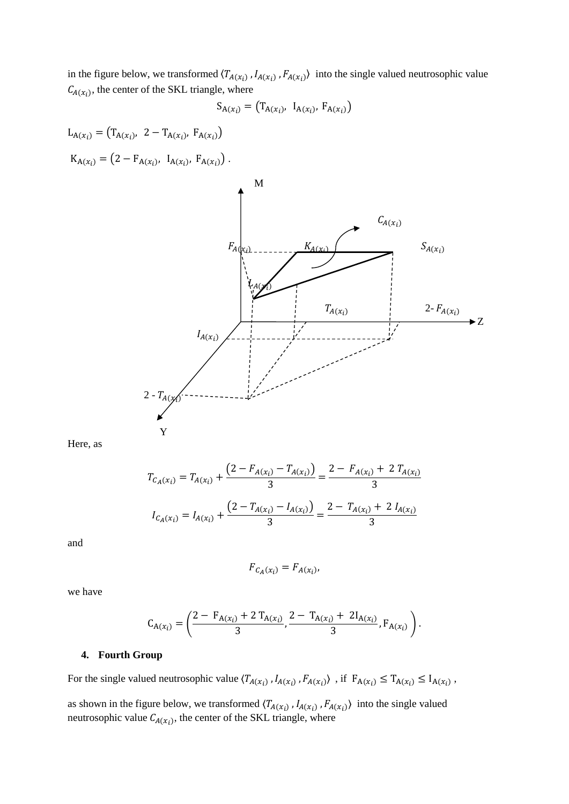in the figure below, we transformed  $(T_{A(x_i)}, I_{A(x_i)}, F_{A(x_i)})$  into the single valued neutrosophic value  $C_{A(x_i)}$ , the center of the SKL triangle, where

$$
S_{A(x_i)} = (T_{A(x_i)}, T_{A(x_i)}, F_{A(x_i)})
$$

 $L_{A(x_i)} = (T_{A(x_i)}, 2 - T_{A(x_i)}, F_{A(x_i)})$  $K_{A(x_i)} = (2 - F_{A(x_i)}, \ I_{A(x_i)}, \ F_{A(x_i)})$ .



Here, as

$$
T_{C_A(x_i)} = T_{A(x_i)} + \frac{\left(2 - F_{A(x_i)} - T_{A(x_i)}\right)}{3} = \frac{2 - F_{A(x_i)} + 2T_{A(x_i)}}{3}
$$

$$
I_{C_A(x_i)} = I_{A(x_i)} + \frac{\left(2 - T_{A(x_i)} - I_{A(x_i)}\right)}{3} = \frac{2 - T_{A(x_i)} + 2I_{A(x_i)}}{3}
$$

and

$$
F_{C_A(x_i)} = F_{A(x_i)}
$$

we have

$$
C_{A(x_i)} = \left(\frac{2 - F_{A(x_i)} + 2 T_{A(x_i)}}{3}, \frac{2 - T_{A(x_i)} + 2 I_{A(x_i)}}{3}, F_{A(x_i)}\right).
$$

## **4. Fourth Group**

For the single valued neutrosophic value  $\langle T_{A(x_i)}, I_{A(x_i)}, F_{A(x_i)} \rangle$ , if  $F_{A(x_i)} \leq T_{A(x_i)} \leq I_{A(x_i)}$ ,

as shown in the figure below, we transformed  $(T_{A(x_i)}, I_{A(x_i)}, F_{A(x_i)})$  into the single valued neutrosophic value  $C_{A(x_i)}$ , the center of the SKL triangle, where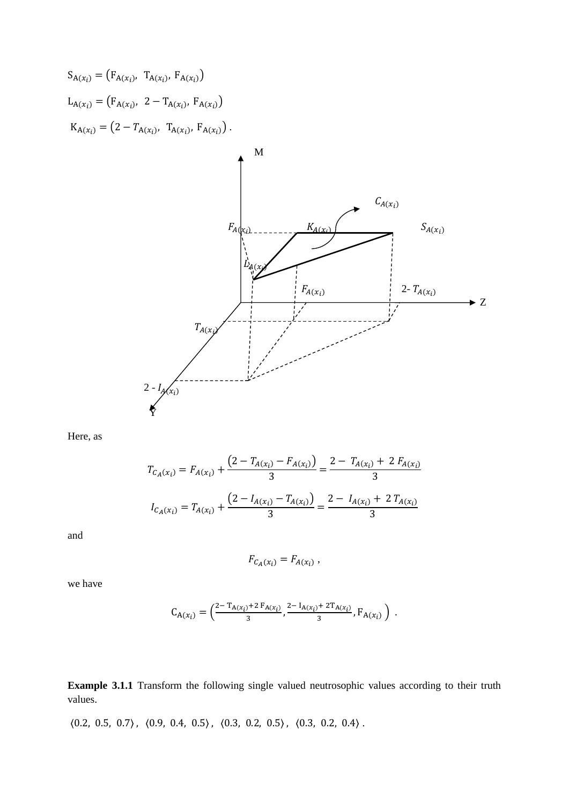



Here, as

$$
T_{C_A(x_i)} = F_{A(x_i)} + \frac{(2 - T_{A(x_i)} - F_{A(x_i)})}{3} = \frac{2 - T_{A(x_i)} + 2 F_{A(x_i)}}{3}
$$

$$
I_{C_A(x_i)} = T_{A(x_i)} + \frac{(2 - I_{A(x_i)} - T_{A(x_i)})}{3} = \frac{2 - I_{A(x_i)} + 2 T_{A(x_i)}}{3}
$$

and

$$
F_{C_A(x_i)} = F_{A(x_i)},
$$

we have

$$
C_{A(x_i)} = \left(\frac{2 - T_{A(x_i)} + 2 F_{A(x_i)}}{3}, \frac{2 - I_{A(x_i)} + 2 T_{A(x_i)}}{3}, F_{A(x_i)}\right).
$$

**Example 3.1.1** Transform the following single valued neutrosophic values according to their truth values.

 $\langle0.2,\ 0.5,\ 0.7\rangle\,,\ \langle0.9,\ 0.4,\ 0.5\rangle\,,\ \langle0.3,\ 0.2,\ 0.5\rangle\,,\ \langle0.3,\ 0.2,\ 0.4\rangle\,.$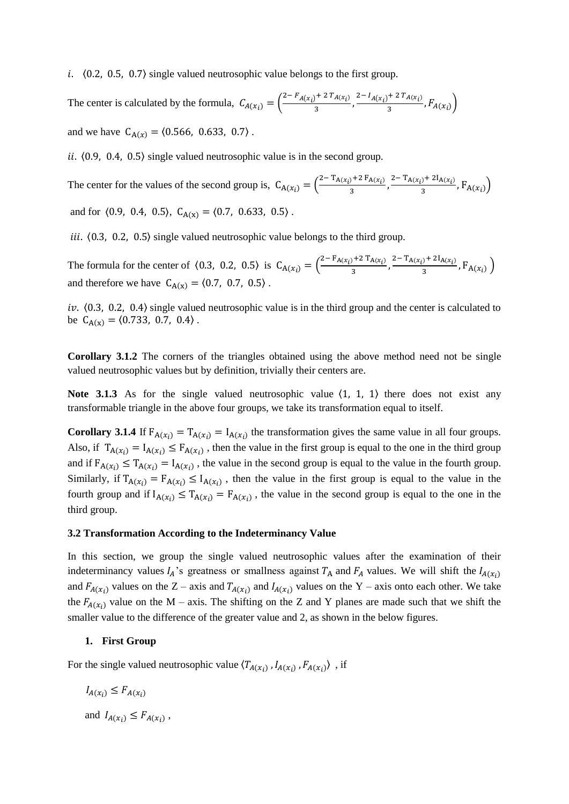i.  $(0.2, 0.5, 0.7)$  single valued neutrosophic value belongs to the first group.

The center is calculated by the formula,  $C_{A}(x_i) = \left(\frac{2 - F_{A}(x_i) + 2 T_{A}(x_i)}{3}\right)$  $\frac{1}{3} + \frac{2T_{A(x_i)}}{3}, \frac{2 - I_{A(x_i)} + 2T_{A(x_i)}}{3}$  $\frac{R(x_i)}{3}, F_{A(x_i)}$ and we have  $C_{A(x)} = (0.566, 0.633, 0.7)$ .

ii.  $(0.9, 0.4, 0.5)$  single valued neutrosophic value is in the second group.

The center for the values of the second group is,  $C_{A}(x_i) = \left(\frac{2 - T_{A}(x_i) + 2 F_{A}(x_i)}{3}\right)$  $\frac{1}{3}$  +2 F<sub>A(x<sub>i</sub>)</sub>,  $\frac{2-T_{A(x_i)}+2I_{A(x_i)}}{3}$  $\frac{1}{3}$ ,  $F_{A(x_i)}$ 

and for  $(0.9, 0.4, 0.5), C_{A(x)} = (0.7, 0.633, 0.5)$ .

iii.  $(0.3, 0.2, 0.5)$  single valued neutrosophic value belongs to the third group.

The formula for the center of  $\langle 0.3, 0.2, 0.5 \rangle$  is  $C_{A(x_i)} = \left(\frac{2 - F_{A(x_i)} + 2 T_{A(x_i)}}{3}\right)$  $\frac{1}{3}$  + 2 T<sub>A(x<sub>i</sub>)</sub> + 2<sup>T</sup><sub>A(x<sub>i</sub>)</sub> + 2<sup>I</sup><sub>A(x<sub>i</sub>)</sub>  $\frac{1}{3}$ ,  $F_{A(x_i)}$ and therefore we have  $C_{A(x)} = \langle 0.7, 0.7, 0.5 \rangle$ .

iv.  $(0.3, 0.2, 0.4)$  single valued neutrosophic value is in the third group and the center is calculated to be  $C_{A(x)} = \langle 0.733, 0.7, 0.4 \rangle$ .

**Corollary 3.1.2** The corners of the triangles obtained using the above method need not be single valued neutrosophic values but by definition, trivially their centers are.

**Note 3.1.3** As for the single valued neutrosophic value  $\langle 1, 1, 1 \rangle$  there does not exist any transformable triangle in the above four groups, we take its transformation equal to itself.

**Corollary 3.1.4** If  $F_{A(x_i)} = T_{A(x_i)} = I_{A(x_i)}$  the transformation gives the same value in all four groups. Also, if  $T_{A(x_i)} = I_{A(x_i)} \le F_{A(x_i)}$ , then the value in the first group is equal to the one in the third group and if  $F_{A(x_i)} \leq T_{A(x_i)} = I_{A(x_i)}$ , the value in the second group is equal to the value in the fourth group. Similarly, if  $T_{A(x_i)} = F_{A(x_i)} \leq I_{A(x_i)}$ , then the value in the first group is equal to the value in the fourth group and if  $I_{A(x_i)} \leq T_{A(x_i)} = F_{A(x_i)}$ , the value in the second group is equal to the one in the third group.

#### **3.2 Transformation According to the Indeterminancy Value**

In this section, we group the single valued neutrosophic values after the examination of their indeterminancy values  $I_A$ 's greatness or smallness against  $T_A$  and  $F_A$  values. We will shift the  $I_{A}(x_i)$ and  $F_{A(x_i)}$  values on the Z – axis and  $T_{A(x_i)}$  and  $I_{A(x_i)}$  values on the Y – axis onto each other. We take the  $F_{A}(x_i)$  value on the M – axis. The shifting on the Z and Y planes are made such that we shift the smaller value to the difference of the greater value and 2, as shown in the below figures.

### **1. First Group**

For the single valued neutrosophic value  $\langle T_{A}(x_i), I_{A}(x_i), F_{A}(x_i) \rangle$ , if

$$
I_{A(x_i)} \le F_{A(x_i)}
$$
  
and 
$$
I_{A(x_i)} \le F_{A(x_i)}
$$

,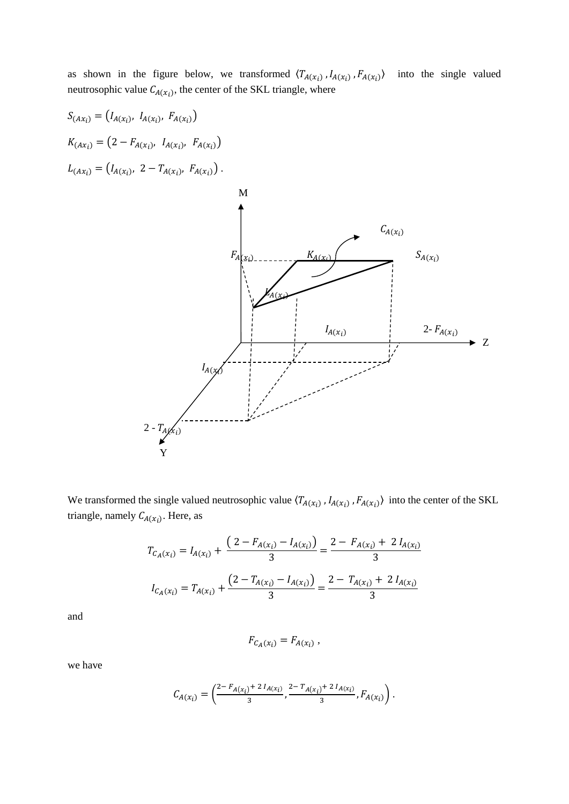as shown in the figure below, we transformed  $\langle T_{A(x_i)}, I_{A(x_i)}, F_{A(x_i)}\rangle$  into the single valued neutrosophic value  $C_{A(x_i)}$ , the center of the SKL triangle, where



We transformed the single valued neutrosophic value  $(T_{A(x_i)}, I_{A(x_i)}, F_{A(x_i)})$  into the center of the SKL triangle, namely  $C_{A(x_i)}$ . Here, as

$$
T_{C_A(x_i)} = I_{A(x_i)} + \frac{\left(2 - F_{A(x_i)} - I_{A(x_i)}\right)}{3} = \frac{2 - F_{A(x_i)} + 2 I_{A(x_i)}}{3}
$$

$$
I_{C_A(x_i)} = T_{A(x_i)} + \frac{\left(2 - T_{A(x_i)} - I_{A(x_i)}\right)}{3} = \frac{2 - T_{A(x_i)} + 2 I_{A(x_i)}}{3}
$$

and

$$
F_{C_A(x_i)} = F_{A(x_i)},
$$

we have

$$
C_{A(x_i)} = \left(\frac{2 - F_{A(x_i)} + 2 I_{A(x_i)}}{3}, \frac{2 - T_{A(x_i)} + 2 I_{A(x_i)}}{3}, F_{A(x_i)}\right).
$$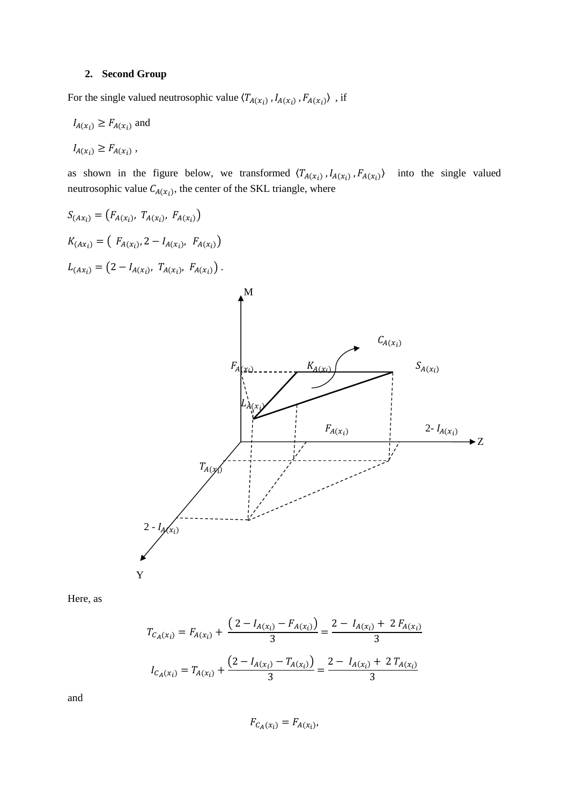## **2. Second Group**

For the single valued neutrosophic value  $\langle T_{A(x_i)}$ ,  $I_{A(x_i)}$ ,  $F_{A(x_i)}\rangle$ , if

$$
I_{A(x_i)} \ge F_{A(x_i)} \text{ and}
$$
  

$$
I_{A(x_i)} \ge F_{A(x_i)},
$$

as shown in the figure below, we transformed  $\langle T_{A(x_i)}, I_{A(x_i)}, F_{A(x_i)}\rangle$  into the single valued neutrosophic value  $C_{A(x_i)}$ , the center of the SKL triangle, where



Here, as

$$
T_{C_A(x_i)} = F_{A(x_i)} + \frac{\left(2 - I_{A(x_i)} - F_{A(x_i)}\right)}{3} = \frac{2 - I_{A(x_i)} + 2 F_{A(x_i)}}{3}
$$

$$
I_{C_A(x_i)} = T_{A(x_i)} + \frac{\left(2 - I_{A(x_i)} - T_{A(x_i)}\right)}{3} = \frac{2 - I_{A(x_i)} + 2 T_{A(x_i)}}{3}
$$

$$
F_{\mathcal{C}_A(x_i)} = F_{A(x_i)},
$$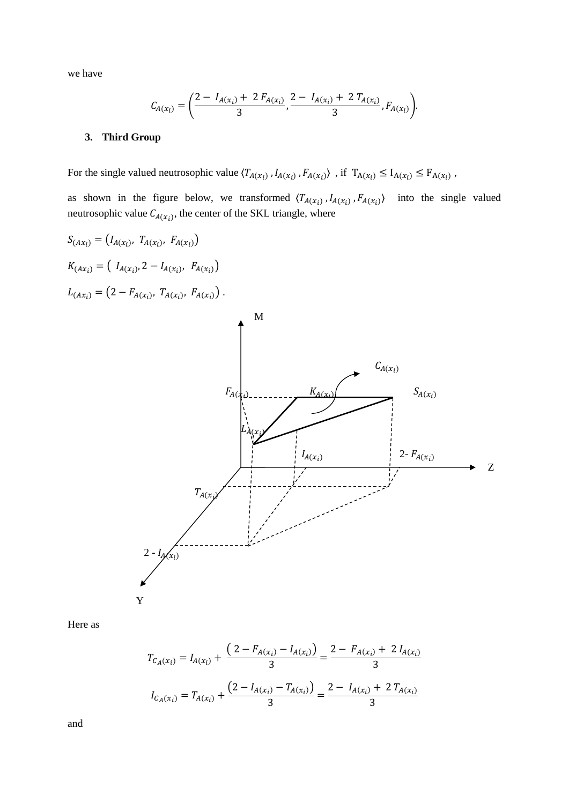we have

$$
C_{A(x_i)} = \left(\frac{2 - I_{A(x_i)} + 2 F_{A(x_i)}}{3}, \frac{2 - I_{A(x_i)} + 2 T_{A(x_i)}}{3}, F_{A(x_i)}\right).
$$

## **3. Third Group**

For the single valued neutrosophic value  $\langle T_{A(x_i)}, I_{A(x_i)}, F_{A(x_i)} \rangle$ , if  $T_{A(x_i)} \leq I_{A(x_i)} \leq F_{A(x_i)}$ ,

as shown in the figure below, we transformed  $\langle T_{A}(x_i), I_{A}(x_i), F_{A}(x_i) \rangle$  into the single valued neutrosophic value  $C_{A(x_i)}$ , the center of the SKL triangle, where



Here as

$$
T_{C_A(x_i)} = I_{A(x_i)} + \frac{\left(2 - F_{A(x_i)} - I_{A(x_i)}\right)}{3} = \frac{2 - F_{A(x_i)} + 2 I_{A(x_i)}}{3}
$$

$$
I_{C_A(x_i)} = T_{A(x_i)} + \frac{\left(2 - I_{A(x_i)} - T_{A(x_i)}\right)}{3} = \frac{2 - I_{A(x_i)} + 2 T_{A(x_i)}}{3}
$$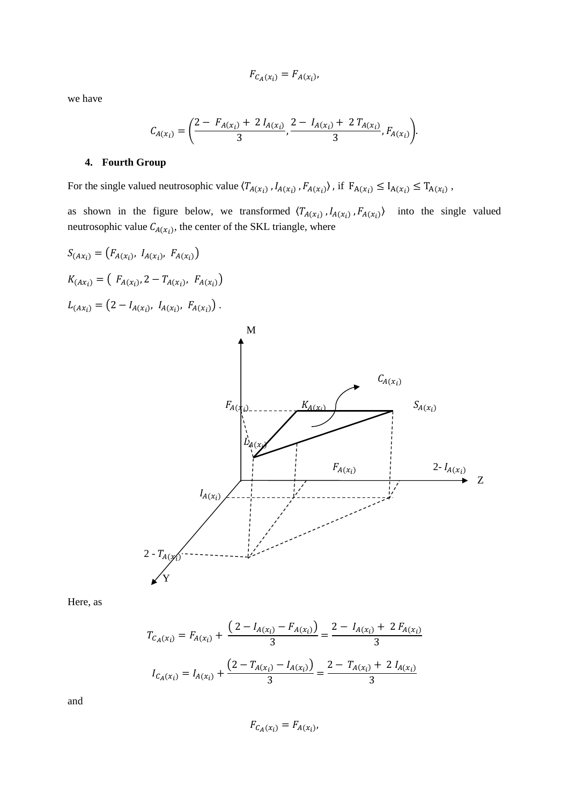$$
F_{\mathcal{C}_A(x_i)} = F_{A(x_i)},
$$

we have

$$
C_{A(x_i)} = \left(\frac{2 - F_{A(x_i)} + 2 I_{A(x_i)}}{3}, \frac{2 - I_{A(x_i)} + 2 T_{A(x_i)}}{3}, F_{A(x_i)}\right).
$$

## **4. Fourth Group**

For the single valued neutrosophic value  $\langle T_{A(x_i)}, I_{A(x_i)}, F_{A(x_i)} \rangle$ , if  $F_{A(x_i)} \leq I_{A(x_i)} \leq T_{A(x_i)}$ ,

as shown in the figure below, we transformed  $\langle T_{A(x_i)}, I_{A(x_i)}, F_{A(x_i)}\rangle$  into the single valued neutrosophic value  $C_{A(x_i)}$ , the center of the SKL triangle, where

$$
S_{(Ax_i)} = (F_{A(x_i)}, I_{A(x_i)}, F_{A(x_i)})
$$
  
\n
$$
K_{(Ax_i)} = (F_{A(x_i)}, 2 - T_{A(x_i)}, F_{A(x_i)})
$$
  
\n
$$
L_{(Ax_i)} = (2 - I_{A(x_i)}, I_{A(x_i)}, F_{A(x_i)})
$$



Here, as

$$
T_{C_A(x_i)} = F_{A(x_i)} + \frac{\left(2 - I_{A(x_i)} - F_{A(x_i)}\right)}{3} = \frac{2 - I_{A(x_i)} + 2 F_{A(x_i)}}{3}
$$

$$
I_{C_A(x_i)} = I_{A(x_i)} + \frac{\left(2 - T_{A(x_i)} - I_{A(x_i)}\right)}{3} = \frac{2 - T_{A(x_i)} + 2 I_{A(x_i)}}{3}
$$

$$
F_{C_A(x_i)} = F_{A(x_i)}
$$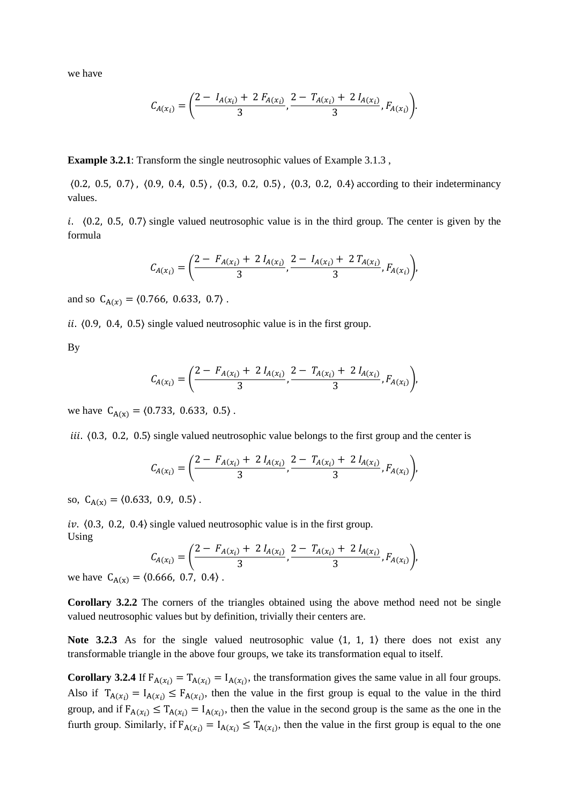we have

$$
C_{A(x_i)} = \left(\frac{2 - I_{A(x_i)} + 2 F_{A(x_i)}}{3}, \frac{2 - T_{A(x_i)} + 2 I_{A(x_i)}}{3}, F_{A(x_i)}\right).
$$

**Example 3.2.1**: Transform the single neutrosophic values of Example 3.1.3 ,

〈0.2, 0.5, 0.7〉 , 〈0.9, 0.4, 0.5〉 , 〈0.3, 0.2, 0.5〉 , 〈0.3, 0.2, 0.4〉 according to their indeterminancy values.

i.  $(0.2, 0.5, 0.7)$  single valued neutrosophic value is in the third group. The center is given by the formula

$$
C_{A(x_i)} = \left(\frac{2 - F_{A(x_i)} + 2 I_{A(x_i)}}{3}, \frac{2 - I_{A(x_i)} + 2 T_{A(x_i)}}{3}, F_{A(x_i)}\right),
$$

and so  $C_{A(x)} = \langle 0.766, 0.633, 0.7 \rangle$ .

ii.  $(0.9, 0.4, 0.5)$  single valued neutrosophic value is in the first group.

By

$$
C_{A(x_i)} = \left(\frac{2 - F_{A(x_i)} + 2 I_{A(x_i)}}{3}, \frac{2 - T_{A(x_i)} + 2 I_{A(x_i)}}{3}, F_{A(x_i)}\right),
$$

we have  $C_{A(x)} = \langle 0.733, 0.633, 0.5 \rangle$ .

iii.  $(0.3, 0.2, 0.5)$  single valued neutrosophic value belongs to the first group and the center is

$$
C_{A(x_i)} = \left(\frac{2 - F_{A(x_i)} + 2 I_{A(x_i)}}{3}, \frac{2 - T_{A(x_i)} + 2 I_{A(x_i)}}{3}, F_{A(x_i)}\right),
$$

so,  $C_{A(x)} = (0.633, 0.9, 0.5)$ .

iv.  $(0.3, 0.2, 0.4)$  single valued neutrosophic value is in the first group. Using

$$
C_{A(x_i)} = \left(\frac{2 - F_{A(x_i)} + 2 I_{A(x_i)}}{3}, \frac{2 - T_{A(x_i)} + 2 I_{A(x_i)}}{3}, F_{A(x_i)}\right),
$$
0.666, 0.7, 0.4)

we have  $C_{A(x)} = (0.666, 0.7, 0.4)$ .

**Corollary 3.2.2** The corners of the triangles obtained using the above method need not be single valued neutrosophic values but by definition, trivially their centers are.

**Note 3.2.3** As for the single valued neutrosophic value  $\langle 1, 1, 1 \rangle$  there does not exist any transformable triangle in the above four groups, we take its transformation equal to itself.

**Corollary 3.2.4** If  $F_{A}(x_i) = T_{A}(x_i) = I_{A}(x_i)$ , the transformation gives the same value in all four groups. Also if  $T_{A(x_i)} = I_{A(x_i)} \leq F_{A(x_i)}$ , then the value in the first group is equal to the value in the third group, and if  $F_{A(x_i)} \leq T_{A(x_i)} = I_{A(x_i)}$ , then the value in the second group is the same as the one in the furth group. Similarly, if  $F_{A(x_i)} = I_{A(x_i)} \leq T_{A(x_i)}$ , then the value in the first group is equal to the one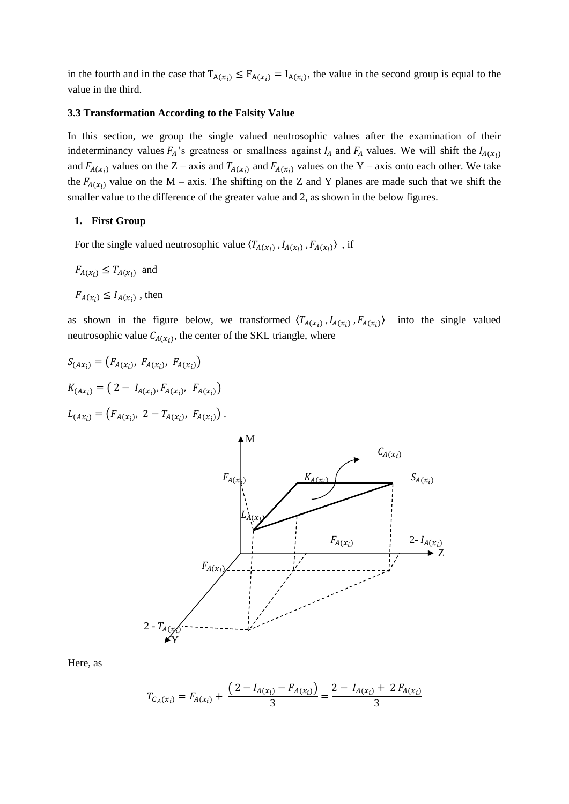in the fourth and in the case that  $T_{A(x_i)} \leq F_{A(x_i)} = I_{A(x_i)}$ , the value in the second group is equal to the value in the third.

#### **3.3 Transformation According to the Falsity Value**

In this section, we group the single valued neutrosophic values after the examination of their indeterminancy values  $F_A$ 's greatness or smallness against  $I_A$  and  $F_A$  values. We will shift the  $I_{A}(x_i)$ and  $F_{A}(x_i)$  values on the Z – axis and  $T_{A}(x_i)$  and  $F_{A}(x_i)$  values on the Y – axis onto each other. We take the  $F_{A}(x_i)$  value on the M – axis. The shifting on the Z and Y planes are made such that we shift the smaller value to the difference of the greater value and 2, as shown in the below figures.

### **1. First Group**

For the single valued neutrosophic value  $\langle T_{A(x_i)}$ ,  $I_{A(x_i)}$ ,  $F_{A(x_i)}\rangle$ , if

$$
F_{A(x_i)} \leq T_{A(x_i)}
$$
 and  
 $F_{A(x_i)} \leq I_{A(x_i)}$ , then

as shown in the figure below, we transformed  $\langle T_{A}(x_i), I_{A}(x_i), F_{A}(x_i) \rangle$  into the single valued neutrosophic value  $C_{A(x_i)}$ , the center of the SKL triangle, where

$$
S_{(Ax_i)} = (F_{A(x_i)}, F_{A(x_i)}, F_{A(x_i)})
$$
  
\n
$$
K_{(Ax_i)} = (2 - I_{A(x_i)}, F_{A(x_i)}, F_{A(x_i)})
$$
  
\n
$$
L_{(Ax_i)} = (F_{A(x_i)}, 2 - T_{A(x_i)}, F_{A(x_i)})
$$



$$
T_{C_A(x_i)} = F_{A(x_i)} + \frac{(2 - I_{A(x_i)} - F_{A(x_i)})}{3} = \frac{2 - I_{A(x_i)} + 2 F_{A(x_i)}}{3}
$$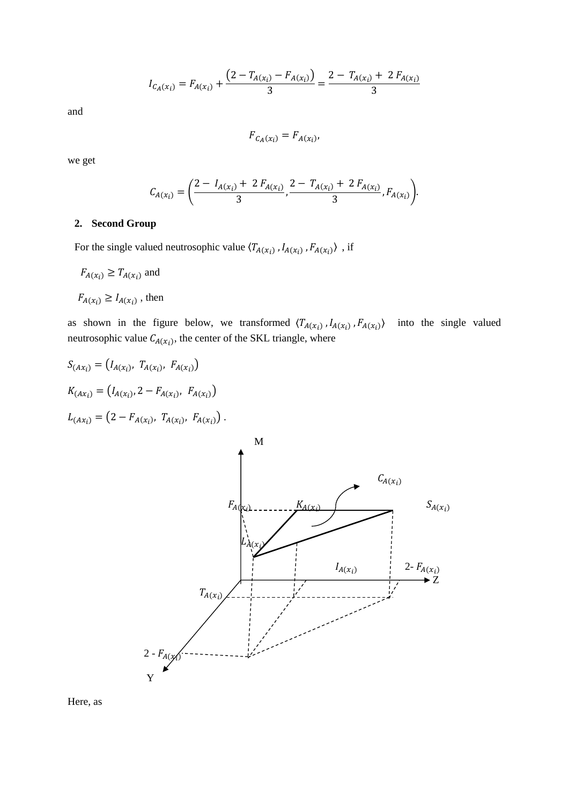$$
I_{C_A(x_i)} = F_{A(x_i)} + \frac{\left(2 - T_{A(x_i)} - F_{A(x_i)}\right)}{3} = \frac{2 - T_{A(x_i)} + 2 F_{A(x_i)}}{3}
$$

$$
F_{C_A(x_i)} = F_{A(x_i)},
$$

we get

$$
C_{A(x_i)} = \left(\frac{2 - I_{A(x_i)} + 2 F_{A(x_i)}}{3}, \frac{2 - T_{A(x_i)} + 2 F_{A(x_i)}}{3}, F_{A(x_i)}\right).
$$

## **2. Second Group**

For the single valued neutrosophic value  $\langle T_{A(x_i)}$ ,  $I_{A(x_i)}$ ,  $F_{A(x_i)}\rangle$ , if

$$
F_{A(x_i)} \ge T_{A(x_i)} \text{ and }
$$

 $F_{A(x_i)} \geq I_{A(x_i)}$ , then

as shown in the figure below, we transformed  $\langle T_{A}(x_i), I_{A}(x_i), F_{A}(x_i) \rangle$  into the single valued neutrosophic value  $C_{A(x_i)}$ , the center of the SKL triangle, where

$$
S_{(Ax_i)} = (I_{A(x_i)}, T_{A(x_i)}, F_{A(x_i)})
$$
  
\n
$$
K_{(Ax_i)} = (I_{A(x_i)}, 2 - F_{A(x_i)}, F_{A(x_i)})
$$
  
\n
$$
L_{(Ax_i)} = (2 - F_{A(x_i)}, T_{A(x_i)}, F_{A(x_i)})
$$

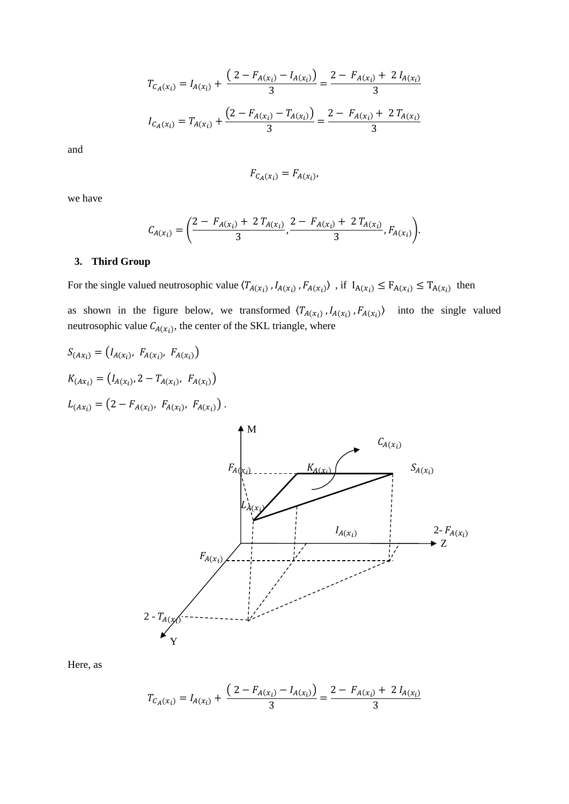$$
T_{C_A(x_i)} = I_{A(x_i)} + \frac{\left(2 - F_{A(x_i)} - I_{A(x_i)}\right)}{3} = \frac{2 - F_{A(x_i)} + 2 I_{A(x_i)}}{3}
$$

$$
I_{C_A(x_i)} = T_{A(x_i)} + \frac{\left(2 - F_{A(x_i)} - T_{A(x_i)}\right)}{3} = \frac{2 - F_{A(x_i)} + 2 T_{A(x_i)}}{3}
$$

$$
F_{C_A(x_i)} = F_{A(x_i)}
$$

we have

$$
C_{A(x_i)} = \left(\frac{2 - F_{A(x_i)} + 2T_{A(x_i)}}{3}, \frac{2 - F_{A(x_i)} + 2T_{A(x_i)}}{3}, F_{A(x_i)}\right).
$$

## **3. Third Group**

For the single valued neutrosophic value  $\langle T_{A(x_i)}, I_{A(x_i)}, F_{A(x_i)} \rangle$ , if  $I_{A(x_i)} \le F_{A(x_i)} \le T_{A(x_i)}$  then as shown in the figure below, we transformed  $\langle T_{A(x_i)}, I_{A(x_i)}, F_{A(x_i)}\rangle$  into the single valued neutrosophic value  $C_{A(x_i)}$ , the center of the SKL triangle, where

$$
S_{(Ax_i)} = (I_{A(x_i)}, F_{A(x_i)}, F_{A(x_i)})
$$
  
\n
$$
K_{(Ax_i)} = (I_{A(x_i)}, 2 - T_{A(x_i)}, F_{A(x_i)})
$$
  
\n
$$
L_{(Ax_i)} = (2 - F_{A(x_i)}, F_{A(x_i)}, F_{A(x_i)})
$$
  
\n
$$
F_{A(x_i)}
$$
  
\n
$$
K_{A(x_i)}
$$
  
\n
$$
K_{A(x_i)}
$$
  
\n
$$
S_{A(x_i)}
$$
  
\n
$$
S_{A(x_i)}
$$
  
\n
$$
S_{A(x_i)}
$$
  
\n
$$
S_{A(x_i)}
$$
  
\n
$$
S_{A(x_i)}
$$
  
\n
$$
S_{A(x_i)}
$$
  
\n
$$
S_{A(x_i)}
$$
  
\n
$$
S_{A(x_i)}
$$
  
\n
$$
S_{A(x_i)}
$$
  
\n
$$
S_{A(x_i)}
$$
  
\n
$$
S_{A(x_i)}
$$
  
\n
$$
S_{A(x_i)}
$$

$$
T_{C_A(x_i)} = I_{A(x_i)} + \frac{(2 - F_{A(x_i)} - I_{A(x_i)})}{3} = \frac{2 - F_{A(x_i)} + 2 I_{A(x_i)}}{3}
$$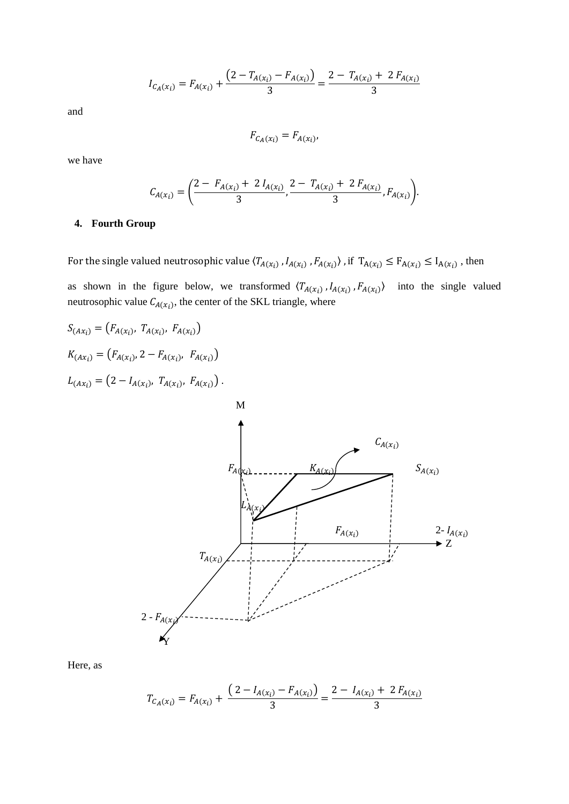$$
I_{C_A(x_i)} = F_{A(x_i)} + \frac{\left(2 - T_{A(x_i)} - F_{A(x_i)}\right)}{3} = \frac{2 - T_{A(x_i)} + 2 F_{A(x_i)}}{3}
$$

$$
F_{C_A(x_i)} = F_{A(x_i)}
$$

we have

$$
C_{A(x_i)} = \left(\frac{2 - F_{A(x_i)} + 2 I_{A(x_i)}}{3}, \frac{2 - T_{A(x_i)} + 2 F_{A(x_i)}}{3}, F_{A(x_i)}\right).
$$

## **4. Fourth Group**

For the single valued neutrosophic value  $\langle T_{A(x_i)}$ ,  $I_{A(x_i)}$ ,  $F_{A(x_i)}\rangle$ , if  $T_{A(x_i)} \le F_{A(x_i)} \le I_{A(x_i)}$ , then

as shown in the figure below, we transformed  $\langle T_{A(x_i)}, I_{A(x_i)}, F_{A(x_i)}\rangle$  into the single valued neutrosophic value  $C_{A(x_i)}$ , the center of the SKL triangle, where



$$
T_{C_A(x_i)} = F_{A(x_i)} + \frac{\left(2 - I_{A(x_i)} - F_{A(x_i)}\right)}{3} = \frac{2 - I_{A(x_i)} + 2 F_{A(x_i)}}{3}
$$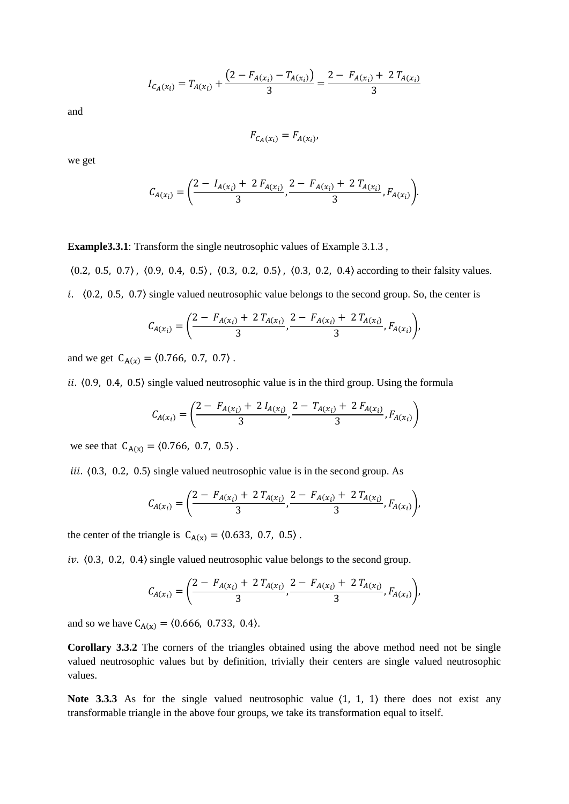$$
I_{C_A(x_i)} = T_{A(x_i)} + \frac{\left(2 - F_{A(x_i)} - T_{A(x_i)}\right)}{3} = \frac{2 - F_{A(x_i)} + 2 T_{A(x_i)}}{3}
$$

$$
F_{C_A(x_i)} = F_{A(x_i)}
$$

we get

$$
C_{A(x_i)} = \left(\frac{2 - I_{A(x_i)} + 2 F_{A(x_i)}}{3}, \frac{2 - F_{A(x_i)} + 2 T_{A(x_i)}}{3}, F_{A(x_i)}\right).
$$

**Example3.3.1**: Transform the single neutrosophic values of Example 3.1.3 ,

〈0.2, 0.5, 0.7〉 , 〈0.9, 0.4, 0.5〉 , 〈0.3, 0.2, 0.5〉 , 〈0.3, 0.2, 0.4〉 according to their falsity values. i.  $(0.2, 0.5, 0.7)$  single valued neutrosophic value belongs to the second group. So, the center is

$$
C_{A(x_i)} = \left(\frac{2 - F_{A(x_i)} + 2T_{A(x_i)}}{3}, \frac{2 - F_{A(x_i)} + 2T_{A(x_i)}}{3}, F_{A(x_i)}\right),
$$

and we get  $C_{A(x)} = \langle 0.766, 0.7, 0.7 \rangle$ .

ii.  $(0.9, 0.4, 0.5)$  single valued neutrosophic value is in the third group. Using the formula

$$
C_{A(x_i)} = \left(\frac{2 - F_{A(x_i)} + 2 I_{A(x_i)}}{3}, \frac{2 - T_{A(x_i)} + 2 F_{A(x_i)}}{3}, F_{A(x_i)}\right)
$$

we see that  $C_{A(x)} = (0.766, 0.7, 0.5)$ .

iii.  $(0.3, 0.2, 0.5)$  single valued neutrosophic value is in the second group. As

$$
C_{A(x_i)} = \left(\frac{2 - F_{A(x_i)} + 2T_{A(x_i)}}{3}, \frac{2 - F_{A(x_i)} + 2T_{A(x_i)}}{3}, F_{A(x_i)}\right),
$$

the center of the triangle is  $C_{A(x)} = (0.633, 0.7, 0.5)$ .

iv.  $(0.3, 0.2, 0.4)$  single valued neutrosophic value belongs to the second group.

$$
C_{A(x_i)} = \left(\frac{2 - F_{A(x_i)} + 2T_{A(x_i)}}{3}, \frac{2 - F_{A(x_i)} + 2T_{A(x_i)}}{3}, F_{A(x_i)}\right),
$$

and so we have  $C_{A(x)} = (0.666, 0.733, 0.4)$ .

**Corollary 3.3.2** The corners of the triangles obtained using the above method need not be single valued neutrosophic values but by definition, trivially their centers are single valued neutrosophic values.

**Note 3.3.3** As for the single valued neutrosophic value  $\langle 1, 1, 1 \rangle$  there does not exist any transformable triangle in the above four groups, we take its transformation equal to itself.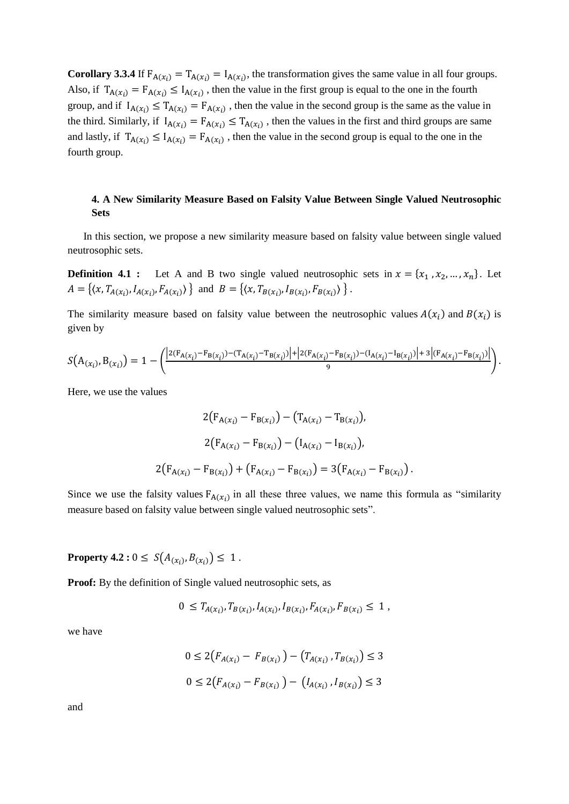**Corollary 3.3.4** If  $F_{A}(x_i) = T_{A}(x_i) = I_{A}(x_i)$ , the transformation gives the same value in all four groups. Also, if  $T_{A(x_i)} = F_{A(x_i)} \leq I_{A(x_i)}$ , then the value in the first group is equal to the one in the fourth group, and if  $I_{A(x_i)} \leq T_{A(x_i)} = F_{A(x_i)}$ , then the value in the second group is the same as the value in the third. Similarly, if  $I_{A(x_i)} = F_{A(x_i)} \leq T_{A(x_i)}$ , then the values in the first and third groups are same and lastly, if  $T_{A(x_i)} \leq I_{A(x_i)} = F_{A(x_i)}$ , then the value in the second group is equal to the one in the fourth group.

# **4. A New Similarity Measure Based on Falsity Value Between Single Valued Neutrosophic Sets**

 In this section, we propose a new similarity measure based on falsity value between single valued neutrosophic sets.

**Definition 4.1 :** Let A and B two single valued neutrosophic sets in  $x = \{x_1, x_2, ..., x_n\}$ . Let  $A = \{ (x, T_{A(x_i)}, I_{A(x_i)}, F_{A(x_i)}) \}$  and  $B = \{ (x, T_{B(x_i)}, I_{B(x_i)}, F_{B(x_i)}) \}$ .

The similarity measure based on falsity value between the neutrosophic values  $A(x_i)$  and  $B(x_i)$  is given by

$$
S(A_{(x_i)}, B_{(x_i)}) = 1 - \left( \frac{|2(F_{A(x_i)} - F_{B(x_i)}) - (T_{A(x_i)} - T_{B(x_i)})| + |2(F_{A(x_i)} - F_{B(x_i)}) - (T_{A(x_i)} - T_{B(x_i)})| + 3| (F_{A(x_i)} - F_{B(x_i)})|}{9} \right).
$$

Here, we use the values

$$
2(F_{A(x_i)} - F_{B(x_i)}) - (T_{A(x_i)} - T_{B(x_i)}),
$$
  
\n
$$
2(F_{A(x_i)} - F_{B(x_i)}) - (I_{A(x_i)} - I_{B(x_i)}),
$$
  
\n
$$
2(F_{A(x_i)} - F_{B(x_i)}) + (F_{A(x_i)} - F_{B(x_i)}) = 3(F_{A(x_i)} - F_{B(x_i)}).
$$

Since we use the falsity values  $F_{A(x_i)}$  in all these three values, we name this formula as "similarity" measure based on falsity value between single valued neutrosophic sets".

**Property 4.2 :**  $0 \le S(A_{(x_i)}, B_{(x_i)}) \le 1$ .

**Proof:** By the definition of Single valued neutrosophic sets, as

$$
0 \leq T_{A(x_i)}, T_{B(x_i)}, I_{A(x_i)}, I_{B(x_i)}, F_{A(x_i)}, F_{B(x_i)} \leq 1,
$$

we have

$$
0 \le 2(F_{A(x_i)} - F_{B(x_i)}) - (T_{A(x_i)}, T_{B(x_i)}) \le 3
$$
  

$$
0 \le 2(F_{A(x_i)} - F_{B(x_i)}) - (I_{A(x_i)}, I_{B(x_i)}) \le 3
$$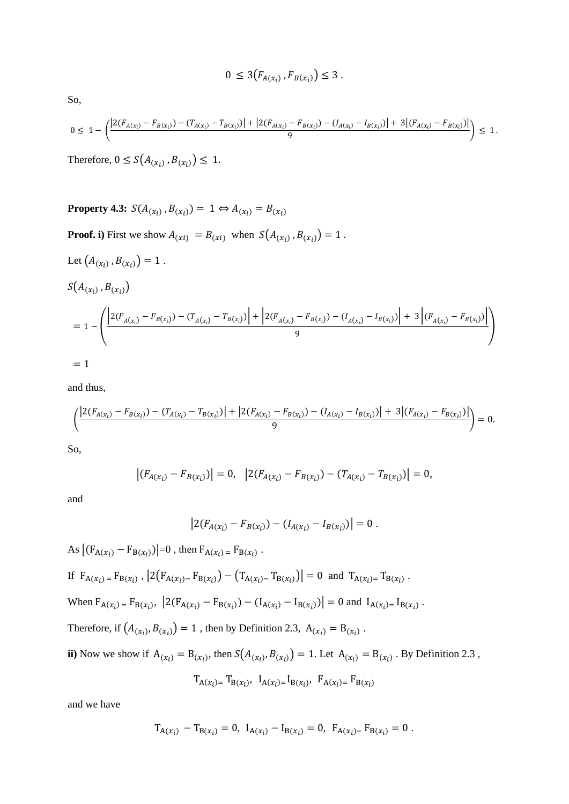$$
0 \leq 3(F_{A(x_i)}, F_{B(x_i)}) \leq 3 \ .
$$

So,

$$
0 \leq 1 - \left( \frac{\left| 2(F_{A(x_i)} - F_{B(x_i)}) - (T_{A(x_i)} - T_{B(x_i)}) \right| + \left| 2(F_{A(x_i)} - F_{B(x_i)}) - (I_{A(x_i)} - I_{B(x_i)}) \right| + 3\left| (F_{A(x_i)} - F_{B(x_i)}) \right|}{9} \right) \leq 1.
$$

Therefore,  $0 \le S(A_{(x_i)}, B_{(x_i)}) \le 1$ .

**Property 4.3:** 
$$
S(A_{(x_i)}, B_{(x_i)}) = 1 \Leftrightarrow A_{(x_i)} = B_{(x_i)}
$$

**Proof.** i) First we show  $A_{(xi)} = B_{(xi)}$  when  $S(A_{(x_i)}, B_{(x_i)}) = 1$ .

Let 
$$
(A_{(x_i)}, B_{(x_i)}) = 1
$$
.  
\n
$$
S(A_{(x_i)}, B_{(x_i)})
$$
\n
$$
= 1 - \left( \frac{\left| 2(F_{A(x_i)} - F_{B(x_i)}) - (T_{A(x_i)} - T_{B(x_i)}) \right| + \left| 2(F_{A(x_i)} - F_{B(x_i)}) - (I_{A(x_i)} - I_{B(x_i)}) \right| + 3 \left| (F_{A(x_i)} - F_{B(x_i)}) \right|}{9} \right)
$$
\n
$$
= 1
$$

and thus,

$$
\left(\frac{\left|2(F_{A(x_i)} - F_{B(x_i)}) - (T_{A(x_i)} - T_{B(x_i)})\right| + \left|2(F_{A(x_i)} - F_{B(x_i)}) - (I_{A(x_i)} - I_{B(x_i)})\right| + 3\left|(F_{A(x_i)} - F_{B(x_i)})\right|}{9}\right) = 0.
$$

So,

$$
\left| (F_{A(x_i)} - F_{B(x_i)}) \right| = 0, \quad \left| 2(F_{A(x_i)} - F_{B(x_i)}) - (T_{A(x_i)} - T_{B(x_i)}) \right| = 0,
$$

and

$$
\left|2(F_{A(x_i)} - F_{B(x_i)}) - (I_{A(x_i)} - I_{B(x_i)})\right| = 0.
$$

As 
$$
|(F_{A(x_i)} - F_{B(x_i)})|=0
$$
, then  $F_{A(x_i)} = F_{B(x_i)}$ .  
\nIf  $F_{A(x_i)} = F_{B(x_i)}$ ,  $|2(F_{A(x_i)} - F_{B(x_i)}) - (T_{A(x_i)} - T_{B(x_i)})| = 0$  and  $T_{A(x_i)} = T_{B(x_i)}$ .  
\nWhen  $F_{A(x_i)} = F_{B(x_i)}$ ,  $|2(F_{A(x_i)} - F_{B(x_i)}) - (I_{A(x_i)} - I_{B(x_i)})| = 0$  and  $I_{A(x_i)} = I_{B(x_i)}$ .  
\nTherefore, if  $(A_{(x_i)}, B_{(x_i)}) = 1$ , then by Definition 2.3,  $A_{(x_i)} = B_{(x_i)}$ .  
\nii) Now we show if  $A_{(x_i)} = B_{(x_i)}$ , then  $S(A_{(x_i)}, B_{(x_i)}) = 1$ . Let  $A_{(x_i)} = B_{(x_i)}$ . By Definition 2.3,

$$
T_{A(x_i)} = T_{B(x_i)}, \ I_{A(x_i)} = I_{B(x_i)}, \ F_{A(x_i)} = F_{B(x_i)}
$$

and we have

$$
T_{A(x_i)} - T_{B(x_i)} = 0, I_{A(x_i)} - I_{B(x_i)} = 0, F_{A(x_i)} - F_{B(x_i)} = 0.
$$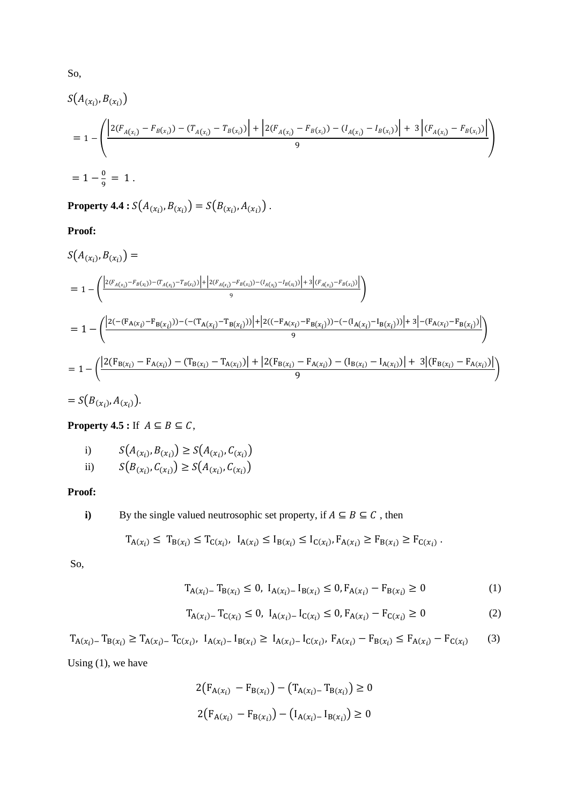$$
S(A_{(x_i)}, B_{(x_i)})
$$
  
=  $1 - \left( \frac{\left| 2(F_{A(x_i)} - F_{B(x_i)}) - (T_{A(x_i)} - T_{B(x_i)}) \right| + \left| 2(F_{A(x_i)} - F_{B(x_i)}) - (T_{A(x_i)} - T_{B(x_i)}) \right| + 3\left| (F_{A(x_i)} - F_{B(x_i)}) \right|}{9} \right)$   
=  $1 - \frac{0}{9} = 1$ .

**Property 4.4 :**  $S(A_{(x_i)}, B_{(x_i)}) = S(B_{(x_i)}, A_{(x_i)})$ .

**Proof:**

$$
S(A_{(x_i)}, B_{(x_i)}) =
$$
\n
$$
= 1 - \left( \frac{|2(F_{A(x_i)} - F_{B(x_i)}) - (T_{A(x_i)} - T_{B(x_i)})| + |2(F_{A(x_i)} - F_{B(x_i)}) - (T_{A(x_i)} - T_{B(x_i)})| + 3(F_{A(x_i)} - F_{B(x_i)})|}{9} \right)
$$
\n
$$
= 1 - \left( \frac{|2(-F_{A(x_i)} - F_{B(x_i)})) - (-T_{A(x_i)} - T_{B(x_i)})| + |2((-F_{A(x_i)} - F_{B(x_i)})) - (T_{A(x_i)} - T_{B(x_i)})| + 3(-F_{A(x_i)} - F_{B(x_i)})|}{9} \right)
$$
\n
$$
= 1 - \left( \frac{|2(F_{B(x_i)} - F_{A(x_i)}) - (T_{B(x_i)} - T_{A(x_i)})| + |2(F_{B(x_i)} - F_{A(x_i)}) - (T_{B(x_i)} - T_{A(x_i)})| + 3[(F_{B(x_i)} - F_{A(x_i)})|]{9} \right)
$$

 $= S(B_{(x_i)}, A_{(x_i)})$ .

**Property 4.5 :** If  $A \subseteq B \subseteq C$ ,

i) 
$$
S(A_{(x_i)}, B_{(x_i)}) \ge S(A_{(x_i)}, C_{(x_i)})
$$

ii) 
$$
S(B_{(x_i)}, C_{(x_i)}) \geq S(A_{(x_i)}, C_{(x_i)})
$$

**Proof:** 

i) By the single valued neutrosophic set property, if 
$$
A \subseteq B \subseteq C
$$
, then

$$
T_{A(x_i)} \leq T_{B(x_i)} \leq T_{C(x_i)}, \ I_{A(x_i)} \leq I_{B(x_i)} \leq I_{C(x_i)}, F_{A(x_i)} \geq F_{B(x_i)} \geq F_{C(x_i)}.
$$

So,

$$
T_{A(x_i)-} T_{B(x_i)} \le 0, I_{A(x_i)-} I_{B(x_i)} \le 0, F_{A(x_i)-} F_{B(x_i)} \ge 0
$$
\n(1)

$$
T_{A(x_i)-} T_{C(x_i)} \le 0, I_{A(x_i)-} I_{C(x_i)} \le 0, F_{A(x_i)-} F_{C(x_i)} \ge 0
$$
\n(2)

 $T_{A(x_i)-} T_{B(x_i)} \geq T_{A(x_i)-} T_{C(x_i)}, \ I_{A(x_i)-} I_{B(x_i)} \geq I_{A(x_i)-} I_{C(x_i)}, \ F_{A(x_i)} - F_{B(x_i)} \leq F_{A(x_i)} - F_{C(x_i)}$ (3)

Using (1), we have

$$
2(F_{A(x_i)} - F_{B(x_i)}) - (T_{A(x_i)} - T_{B(x_i)}) \ge 0
$$
  

$$
2(F_{A(x_i)} - F_{B(x_i)}) - (I_{A(x_i)} - I_{B(x_i)}) \ge 0
$$

So,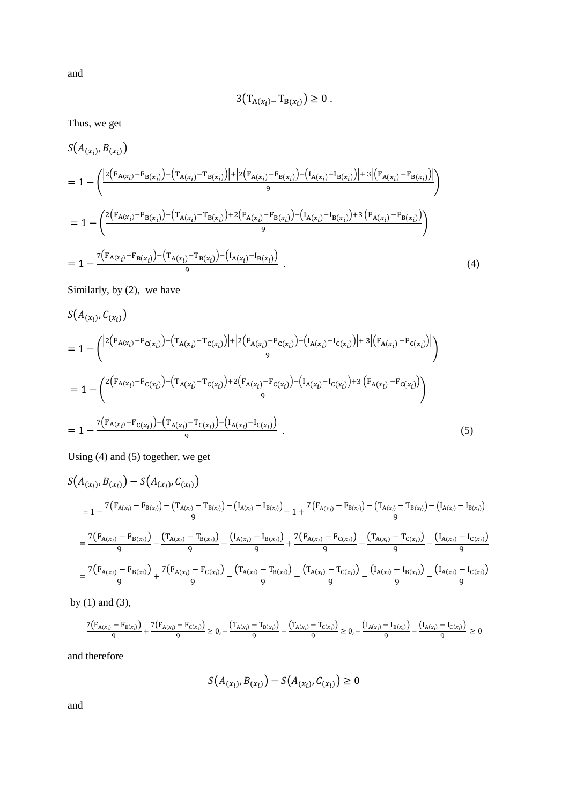$$
3(T_{A(x_i)-}T_{B(x_i)}) \geq 0.
$$

Thus, we get

$$
S(A_{(x_i)}, B_{(x_i)})
$$
  
=  $1 - \left( \frac{|2(F_{A(x_i)} - F_{B(x_i)}) - (T_{A(x_i)} - T_{B(x_i)})| + |2(F_{A(x_i)} - F_{B(x_i)}) - (I_{A(x_i)} - I_{B(x_i)})| + 3(F_{A(x_i)} - F_{B(x_i)})|}{9} \right)$   
=  $1 - \left( \frac{2(F_{A(x_i)} - F_{B(x_i)}) - (T_{A(x_i)} - T_{B(x_i)}) + 2(F_{A(x_i)} - F_{B(x_i)}) - (I_{A(x_i)} - I_{B(x_i)}) + 3(F_{A(x_i)} - F_{B(x_i)})}{9} \right)$   
=  $1 - \frac{7(F_{A(x_i)} - F_{B(x_i)}) - (T_{A(x_i)} - T_{B(x_i)}) - (I_{A(x_i)} - I_{B(x_i)})}{9}$ . (4)

Similarly, by (2), we have

$$
S(A_{(x_i)}, C_{(x_i)})
$$
  
=  $1 - \left( \frac{|2(F_{A(x_i)} - F_{C(x_i)}) - (T_{A(x_i)} - T_{C(x_i)})| + |2(F_{A(x_i)} - F_{C(x_i)}) - (I_{A(x_i)} - I_{C(x_i)})| + 3[(F_{A(x_i)} - F_{C(x_i)})|]}{9} \right)$   
=  $1 - \left( \frac{2(F_{A(x_i)} - F_{C(x_i)}) - (T_{A(x_i)} - T_{C(x_i)}) + 2(F_{A(x_i)} - F_{C(x_i)}) - (I_{A(x_i)} - I_{C(x_i)}) + 3(F_{A(x_i)} - F_{C(x_i)})}{9} \right)$   
=  $1 - \frac{7(F_{A(x_i)} - F_{C(x_i)}) - (T_{A(x_i)} - T_{C(x_i)}) - (I_{A(x_i)} - I_{C(x_i)})}{9}$ . (5)

Using (4) and (5) together, we get

$$
S(A_{(x_i)}, B_{(x_i)}) - S(A_{(x_i)}, C_{(x_i)})
$$
\n
$$
= 1 - \frac{7(F_{A(x_i)} - F_{B(x_i)}) - (T_{A(x_i)} - T_{B(x_i)}) - (I_{A(x_i)} - I_{B(x_i)})}{9} - 1 + \frac{7(F_{A(x_i)} - F_{B(x_i)}) - (T_{A(x_i)} - T_{B(x_i)}) - (I_{A(x_i)} - I_{B(x_i)})}{9}
$$
\n
$$
= \frac{7(F_{A(x_i)} - F_{B(x_i)})}{9} - \frac{(T_{A(x_i)} - T_{B(x_i)})}{9} - \frac{(I_{A(x_i)} - I_{B(x_i)})}{9} + \frac{7(F_{A(x_i)} - F_{C(x_i)})}{9} - \frac{(T_{A(x_i)} - T_{C(x_i)})}{9} - \frac{(I_{A(x_i)} - I_{C(x_i)})}{9}
$$
\n
$$
= \frac{7(F_{A(x_i)} - F_{B(x_i)})}{9} + \frac{7(F_{A(x_i)} - F_{C(x_i)})}{9} - \frac{(T_{A(x_i)} - T_{B(x_i)})}{9} - \frac{(T_{A(x_i)} - T_{C(x_i)})}{9} - \frac{(I_{A(x_i)} - I_{B(x_i)})}{9} - \frac{(I_{A(x_i)} - I_{B(x_i)})}{9} - \frac{(I_{A(x_i)} - I_{B(x_i)})}{9} - \frac{(I_{A(x_i)} - I_{B(x_i)})}{9} - \frac{(I_{A(x_i)} - I_{B(x_i)})}{9} - \frac{(I_{A(x_i)} - I_{B(x_i)})}{9} - \frac{(I_{A(x_i)} - I_{B(x_i)})}{9} - \frac{(I_{A(x_i)} - I_{B(x_i)})}{9} - \frac{(I_{A(x_i)} - I_{B(x_i)})}{9} - \frac{(I_{A(x_i)} - I_{B(x_i)})}{9} - \frac{(I_{A(x_i)} - I_{B(x_i)})}{9} - \frac{(I_{A(x_i)} - I_{B(x_i)})}{9} - \frac{(I_{A(x_i)} - I_{B(x_i)})}{9} - \frac{(I_{A(x_i)} - I_{B(x_i)})}{9} - \frac{(I_{A(x_i)} - I_{B(x_i)})}{9} - \frac{(I_{A(x_i)} - I_{B(x_i)})}{9} - \frac{(I_{A(x_i)} - I_{B(x_i)})}{9} - \frac{(I_{A(x_i)} - I_{B(x_i)})}{9} - \frac{(I_{A(x_i)} - I_{B(x_i)})}{9} - \frac{(I_{A(x_i)} - I
$$

by (1) and (3),

$$
\frac{7(F_{A(x_i)} - F_{B(x_i)})}{9} + \frac{7(F_{A(x_i)} - F_{C(x_i)})}{9} \ge 0, -\frac{(T_{A(x_i)} - T_{B(x_i)})}{9} - \frac{(T_{A(x_i)} - T_{C(x_i)})}{9} \ge 0, -\frac{(I_{A(x_i)} - I_{B(x_i)})}{9} - \frac{(I_{A(x_i)} - I_{C(x_i)})}{9} \ge 0
$$

and therefore

$$
S(A_{(x_i)}, B_{(x_i)}) - S(A_{(x_i)}, C_{(x_i)}) \ge 0
$$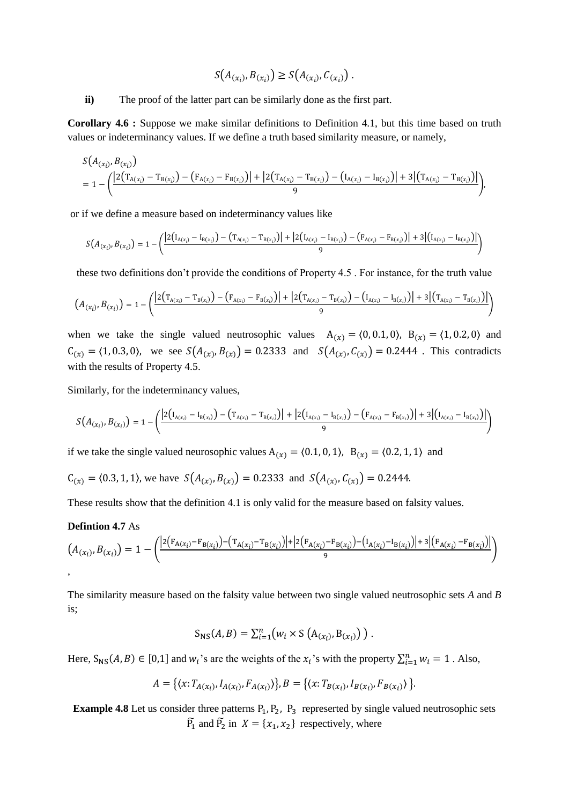$$
S(A_{(x_i)}, B_{(x_i)}) \ge S(A_{(x_i)}, C_{(x_i)})
$$
.

**ii)** The proof of the latter part can be similarly done as the first part.

**Corollary 4.6 :** Suppose we make similar definitions to Definition 4.1, but this time based on truth values or indeterminancy values. If we define a truth based similarity measure, or namely,

$$
S(A_{(x_i)}, B_{(x_i)})
$$
  
=  $1 - \left( \frac{|2(T_{A(x_i)} - T_{B(x_i)}) - (F_{A(x_i)} - F_{B(x_i)})| + |2(T_{A(x_i)} - T_{B(x_i)}) - (I_{A(x_i)} - I_{B(x_i)})| + 3|(T_{A(x_i)} - T_{B(x_i)})|}{9} \right),$ 

or if we define a measure based on indeterminancy values like

$$
S(A_{(x_i)},B_{(x_i)})=1-\bigg(\dfrac{\big|2\big(I_{A(x_i)}-I_{B(x_i)}\big)-\big(T_{A(x_i)}-T_{B(x_i)}\big)\big|+\big|2\big(I_{A(x_i)}-I_{B(x_i)}\big)-\big(F_{A(x_i)}-F_{B(x_i)}\big)\big|+3\big|\big(I_{A(x_i)}-I_{B(x_i)}\big)\big|}{9}\bigg)
$$

these two definitions don't provide the conditions of Property 4.5 . For instance, for the truth value

$$
\left(A_{(x_i)},B_{(x_i)}\right)=1-\left(\frac{\left|2\left(T_{A(x_i)}-T_{B(x_i)}\right)-\left(F_{A(x_i)}-F_{B(x_i)}\right)\right|+\left|2\left(T_{A(x_i)}-T_{B(x_i)}\right)-\left(I_{A(x_i)}-I_{B(x_i)}\right)\right|+3\left|\left(T_{A(x_i)}-T_{B(x_i)}\right)\right|}{9}\right)
$$

when we take the single valued neutrosophic values  $A_{(x)} = \langle 0, 0.1, 0 \rangle$ ,  $B_{(x)} = \langle 1, 0.2, 0 \rangle$  and  $C_{(x)} = (1, 0.3, 0)$ , we see  $S(A_{(x)}, B_{(x)}) = 0.2333$  and  $S(A_{(x)}, C_{(x)}) = 0.2444$ . This contradicts with the results of Property 4.5.

Similarly, for the indeterminancy values,

$$
S(A_{(x_i)},B_{(x_i)}) = 1 - \left(\frac{\left|2(I_{A(x_i)} - I_{B(x_i)}) - (T_{A(x_i)} - T_{B(x_i)})\right| + \left|2(I_{A(x_i)} - I_{B(x_i)}) - (F_{A(x_i)} - F_{B(x_i)})\right| + 3\left|(I_{A(x_i)} - I_{B(x_i)})\right|}{9}\right)
$$

if we take the single valued neurosophic values  $A_{(x)} = \langle 0.1, 0, 1 \rangle$ ,  $B_{(x)} = \langle 0.2, 1, 1 \rangle$  and

$$
C_{(x)} = (0.3, 1, 1)
$$
, we have  $S(A_{(x)}, B_{(x)}) = 0.2333$  and  $S(A_{(x)}, C_{(x)}) = 0.2444$ .

These results show that the definition 4.1 is only valid for the measure based on falsity values.

#### **Defintion 4.7** As

$$
(A_{(x_i)}, B_{(x_i)}) = 1 - \left( \frac{|2(F_{A(x_i)} - F_{B(x_i)}) - (T_{A(x_i)} - T_{B(x_i)})| + |2(F_{A(x_i)} - F_{B(x_i)}) - (T_{A(x_i)} - T_{B(x_i)})| + 3(|F_{A(x_i)} - F_{B(x_i)})|}{9} \right),
$$

The similarity measure based on the falsity value between two single valued neutrosophic sets *A* and *B* is;

$$
S_{NS}(A, B) = \sum_{i=1}^{n} (w_i \times S(A_{(x_i)}, B_{(x_i)}))
$$

Here,  $S_{NS}(A, B) \in [0, 1]$  and  $w_i$ 's are the weights of the  $x_i$ 's with the property  $\sum_{i=1}^{n} w_i = 1$ . Also,

$$
A = \{ \langle x: T_{A(x_i)}, I_{A(x_i)}, F_{A(x_i)} \rangle \}, B = \{ \langle x: T_{B(x_i)}, I_{B(x_i)}, F_{B(x_i)} \rangle \}.
$$

**Example 4.8** Let us consider three patterns  $P_1$ ,  $P_2$ ,  $P_3$  represerted by single valued neutrosophic sets  $\widetilde{P_1}$  and  $\widetilde{P_2}$  in  $X = \{x_1, x_2\}$  respectively, where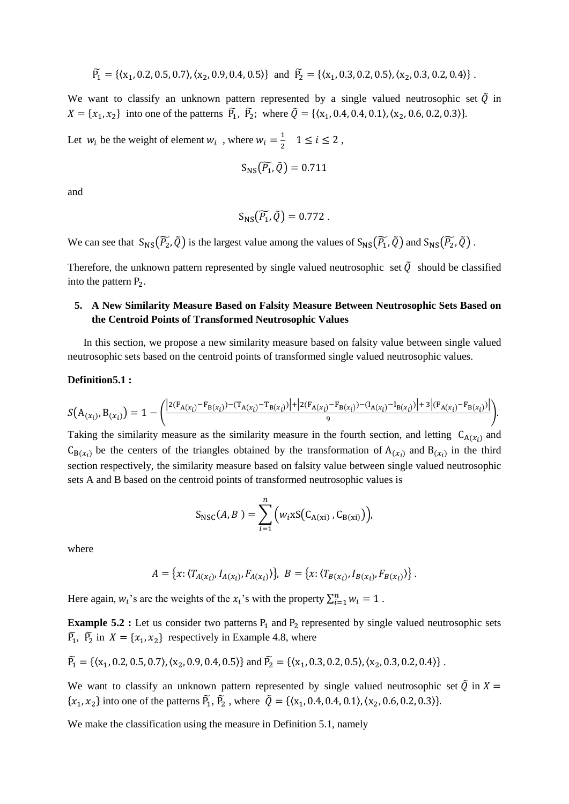$$
\widetilde{P_1} = \left\{ \langle x_1, 0.2, 0.5, 0.7 \rangle, \langle x_2, 0.9, 0.4, 0.5 \rangle \right\} \text{ and } \widetilde{P_2} = \left\{ \langle x_1, 0.3, 0.2, 0.5 \rangle, \langle x_2, 0.3, 0.2, 0.4 \rangle \right\}.
$$

We want to classify an unknown pattern represented by a single valued neutrosophic set  $\tilde{Q}$  in  $X = \{x_1, x_2\}$  into one of the patterns  $\tilde{P_1}$ ,  $\tilde{P_2}$ ; where  $\tilde{Q} = \{\langle x_1, 0.4, 0.4, 0.1 \rangle, \langle x_2, 0.6, 0.2, 0.3 \rangle\}$ .

Let  $w_i$  be the weight of element  $w_i$ , where  $w_i = \frac{1}{2}$  $\frac{1}{2}$  1  $\leq i \leq 2$ ,

$$
S_{NS}(\widetilde{P_1},\widetilde{Q})=0.711
$$

and

$$
S_{NS}(\widetilde{P_1},\widetilde{Q})=0.772.
$$

We can see that  $S_{NS}(\widetilde{P_2}, \widetilde{Q})$  is the largest value among the values of  $S_{NS}(\widetilde{P_1}, \widetilde{Q})$  and  $S_{NS}(\widetilde{P_2}, \widetilde{Q})$ .

Therefore, the unknown pattern represented by single valued neutrosophic set  $\tilde{Q}$  should be classified into the pattern  $P_2$ .

# **5. A New Similarity Measure Based on Falsity Measure Between Neutrosophic Sets Based on the Centroid Points of Transformed Neutrosophic Values**

 In this section, we propose a new similarity measure based on falsity value between single valued neutrosophic sets based on the centroid points of transformed single valued neutrosophic values.

#### **Definition5.1 :**

$$
S(A_{(x_i)},B_{(x_i)})=1-\bigg(\frac{|2(F_{A(x_i)}-F_{B(x_i)})-(T_{A(x_i)}-T_{B(x_i)})|+|2(F_{A(x_i)}-F_{B(x_i)})-(I_{A(x_i)}-I_{B(x_i)})|+3\big|(F_{A(x_i)}-F_{B(x_i)})\big|}{9}.
$$

Taking the similarity measure as the similarity measure in the fourth section, and letting  $C_{A(x_i)}$  and  $C_{B(x_i)}$  be the centers of the triangles obtained by the transformation of  $A(x_i)$  and  $B(x_i)$  in the third section respectively, the similarity measure based on falsity value between single valued neutrosophic sets A and B based on the centroid points of transformed neutrosophic values is

$$
S_{\rm NSC}(A, B) = \sum_{i=1}^{n} (w_i x S(C_{A(xi)}, C_{B(xi)}))
$$

where

$$
A = \{x: \langle T_{A(x_i)}, I_{A(x_i)}, F_{A(x_i)} \rangle\}, \ B = \{x: \langle T_{B(x_i)}, I_{B(x_i)}, F_{B(x_i)} \rangle\}.
$$

Here again,  $w_i$ 's are the weights of the  $x_i$ 's with the property  $\sum_{i=1}^n w_i = 1$ .

**Example 5.2 :** Let us consider two patterns  $P_1$  and  $P_2$  represented by single valued neutrosophic sets  $\widetilde{P_1}$ ,  $\widetilde{P_2}$  in  $X = \{x_1, x_2\}$  respectively in Example 4.8, where

$$
\widetilde{P_1} = \{ \langle x_1, 0.2, 0.5, 0.7 \rangle, \langle x_2, 0.9, 0.4, 0.5 \rangle \} \text{ and } \widetilde{P_2} = \{ \langle x_1, 0.3, 0.2, 0.5 \rangle, \langle x_2, 0.3, 0.2, 0.4 \rangle \}.
$$

We want to classify an unknown pattern represented by single valued neutrosophic set  $\tilde{Q}$  in  $X =$  $\{x_1, x_2\}$  into one of the patterns  $\tilde{P_1}$ ,  $\tilde{P_2}$ , where  $\tilde{Q} = \{\langle x_1, 0.4, 0.4, 0.1 \rangle, \langle x_2, 0.6, 0.2, 0.3 \rangle\}.$ 

We make the classification using the measure in Definition 5.1, namely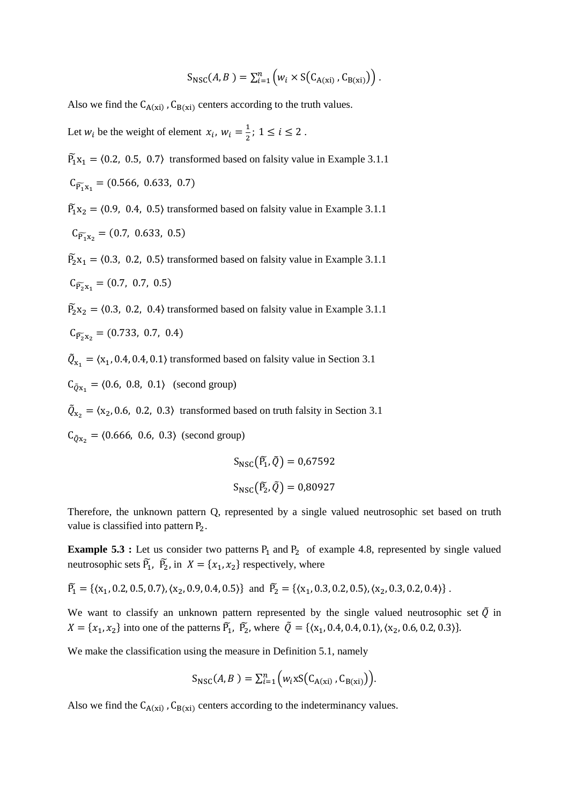$$
S_{\rm NSC}(A, B) = \sum_{i=1}^n \left( w_i \times S(C_{A(xi)}, C_{B(xi)}) \right).
$$

Also we find the  $C_{A(xi)}$ ,  $C_{B(xi)}$  centers according to the truth values.

Let  $w_i$  be the weight of element  $x_i$ ,  $w_i = \frac{1}{2}$  $\frac{1}{2}$ ; 1  $\leq i \leq 2$ .

 $\widetilde{P}_1$  x<sub>1</sub> = (0.2, 0.5, 0.7) transformed based on falsity value in Example 3.1.1  $C_{\widetilde{P_1}x_1} = (0.566, 0.633, 0.7)$ 

 $\widetilde{P}_1$  x<sub>2</sub> = (0.9, 0.4, 0.5) transformed based on falsity value in Example 3.1.1

$$
C_{\widetilde{P_1}x_2}=(0.7, 0.633, 0.5)
$$

 $\widetilde{P}_2$ x<sub>1</sub> = (0.3, 0.2, 0.5) transformed based on falsity value in Example 3.1.1  $(0.7, 0.7, 0.5)$ 

$$
C_{\widetilde{P_2}x_1} = (0.7, 0.7, 0.5)
$$

 $\widetilde{P}_2$  x<sub>2</sub> = (0.3, 0.2, 0.4) transformed based on falsity value in Example 3.1.1

$$
C_{\widetilde{P_2}X_2} = (0.733, 0.7, 0.4)
$$

 $\tilde{Q}_{x_1} = \langle x_1, 0.4, 0.4, 0.1 \rangle$  transformed based on falsity value in Section 3.1

 $C_{\tilde{Q}x_1} = (0.6, 0.8, 0.1)$  (second group)

 $\tilde{Q}_{x_2} = \langle x_2, 0.6, 0.2, 0.3 \rangle$  transformed based on truth falsity in Section 3.1

 $C_{\tilde{Q}x_2} = (0.666, 0.6, 0.3)$  (second group)

$$
S_{NSC}(\tilde{P_1}, \tilde{Q}) = 0.67592
$$

$$
S_{NSC}(\tilde{P_2}, \tilde{Q}) = 0.80927
$$

Therefore, the unknown pattern Q, represented by a single valued neutrosophic set based on truth value is classified into pattern  $P_2$ .

**Example 5.3 :** Let us consider two patterns  $P_1$  and  $P_2$  of example 4.8, represented by single valued neutrosophic sets  $\tilde{P}_1$ ,  $\tilde{P}_2$ , in  $X = \{x_1, x_2\}$  respectively, where

 $\widetilde{P_1} = \{ \langle x_1, 0.2, 0.5, 0.7 \rangle, \langle x_2, 0.9, 0.4, 0.5 \rangle \}$  and  $\widetilde{P_2} = \{ \langle x_1, 0.3, 0.2, 0.5 \rangle, \langle x_2, 0.3, 0.2, 0.4 \rangle \}$ .

We want to classify an unknown pattern represented by the single valued neutrosophic set  $\tilde{Q}$  in  $X = \{x_1, x_2\}$  into one of the patterns  $\tilde{P_1}$ ,  $\tilde{P_2}$ , where  $\tilde{Q} = \{\langle x_1, 0.4, 0.4, 0.1 \rangle, \langle x_2, 0.6, 0.2, 0.3 \rangle\}$ .

We make the classification using the measure in Definition 5.1, namely

$$
S_{\rm NSC}(A, B) = \sum_{i=1}^{n} \Big( w_i x S\big( C_{A(xi)}, C_{B(xi)} \big) \Big).
$$

Also we find the  $C_{A(xi)}$ ,  $C_{B(xi)}$  centers according to the indeterminancy values.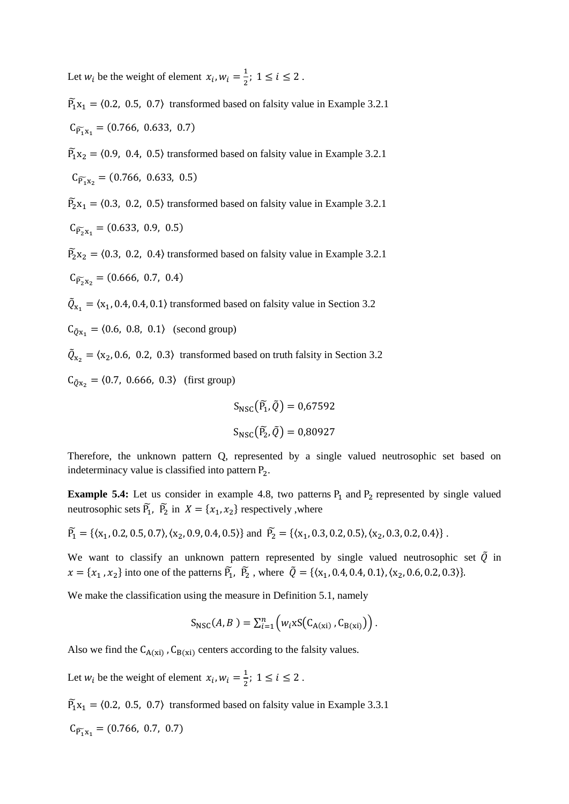Let  $w_i$  be the weight of element  $x_i$ ,  $w_i = \frac{1}{2}$  $\frac{1}{2}$ ; 1  $\leq i \leq 2$ .

 $\widetilde{P}_1$  x<sub>1</sub> = (0.2, 0.5, 0.7) transformed based on falsity value in Example 3.2.1  $C_{\widetilde{P_1}x_1} = (0.766, 0.633, 0.7)$ 

 $\widetilde{P}_1$  x<sub>2</sub> = (0.9, 0.4, 0.5) transformed based on falsity value in Example 3.2.1  $C_{\widetilde{P_1}x_2} = (0.766, 0.633, 0.5)$ 

 $\widetilde{P}_2$ x<sub>1</sub> = (0.3, 0.2, 0.5) transformed based on falsity value in Example 3.2.1

 $C_{\widetilde{P_2}x_1} = (0.633, 0.9, 0.5)$ 

 $\widetilde{P}_2$  x<sub>2</sub> = (0.3, 0.2, 0.4) transformed based on falsity value in Example 3.2.1

 $C_{\widetilde{P_2}x_2} = (0.666, 0.7, 0.4)$ 

 $\tilde{Q}_{x_1} = \langle x_1, 0.4, 0.4, 0.1 \rangle$  transformed based on falsity value in Section 3.2

 $C_{\tilde{Q}x_1} = (0.6, 0.8, 0.1)$  (second group)

 $\tilde{Q}_{x_2} = \langle x_2, 0.6, 0.2, 0.3 \rangle$  transformed based on truth falsity in Section 3.2

 $C_{\tilde{Q}x_2} = \langle 0.7, 0.666, 0.3 \rangle$  (first group)

$$
S_{NSC}(\tilde{P_1}, \tilde{Q}) = 0.67592
$$

$$
S_{NSC}(\tilde{P_2}, \tilde{Q}) = 0.80927
$$

Therefore, the unknown pattern Q, represented by a single valued neutrosophic set based on indeterminacy value is classified into pattern P<sub>2</sub>.

**Example 5.4:** Let us consider in example 4.8, two patterns  $P_1$  and  $P_2$  represented by single valued neutrosophic sets  $\tilde{P}_1$ ,  $\tilde{P}_2$  in  $X = \{x_1, x_2\}$  respectively, where

 $\widetilde{P_1} = \{(x_1, 0.2, 0.5, 0.7), (x_2, 0.9, 0.4, 0.5)\}$  and  $\widetilde{P_2} = \{(x_1, 0.3, 0.2, 0.5), (x_2, 0.3, 0.2, 0.4)\}$ .

We want to classify an unknown pattern represented by single valued neutrosophic set  $\tilde{O}$  in  $x = \{x_1, x_2\}$  into one of the patterns  $\tilde{P_1}$ ,  $\tilde{P_2}$ , where  $\tilde{Q} = \{\langle x_1, 0.4, 0.4, 0.1 \rangle, \langle x_2, 0.6, 0.2, 0.3 \rangle\}$ .

We make the classification using the measure in Definition 5.1, namely

$$
S_{\rm NSC}(A, B) = \sum_{i=1}^{n} \left( w_i \, \text{SS}(C_{A(\text{xi})}, C_{B(\text{xi})}) \right).
$$

Also we find the  $C_{A(xi)}$ ,  $C_{B(xi)}$  centers according to the falsity values.

Let  $w_i$  be the weight of element  $x_i$ ,  $w_i = \frac{1}{2}$  $\frac{1}{2}$ ; 1  $\leq i \leq 2$ .

 $\widetilde{P}_1$  x<sub>1</sub> = (0.2, 0.5, 0.7) transformed based on falsity value in Example 3.3.1

$$
C_{\widetilde{P_1}x_1}=(0.766, 0.7, 0.7)
$$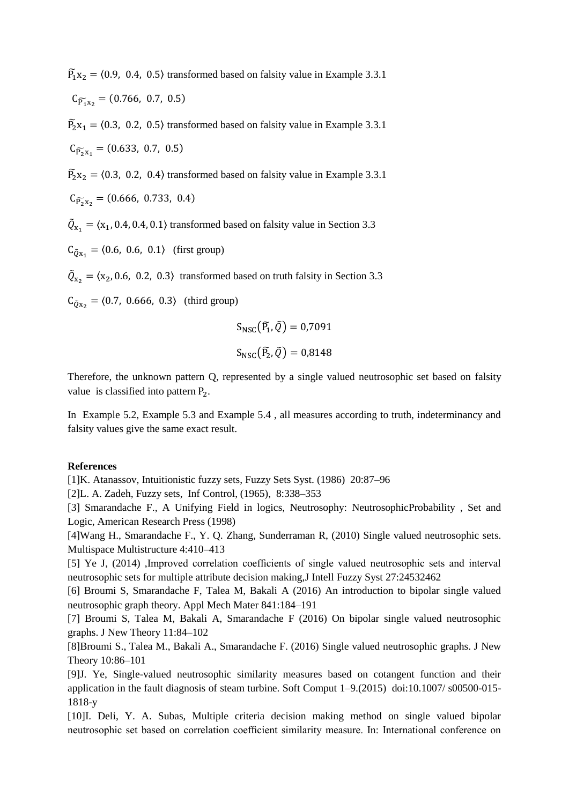$\widetilde{P}_1$  x<sub>2</sub> = (0.9, 0.4, 0.5) transformed based on falsity value in Example 3.3.1  $C_{\widetilde{P_1}x_2} = (0.766, 0.7, 0.5)$ 

 $\widetilde{P}_2$ **x**<sub>1</sub> = (0.3, 0.2, 0.5) transformed based on falsity value in Example 3.3.1  $C_{\widetilde{P_2}x_1} = (0.633, 0.7, 0.5)$ 

 $\widetilde{P}_2$  x<sub>2</sub> = (0.3, 0.2, 0.4) transformed based on falsity value in Example 3.3.1

 $C_{\widetilde{P_2}X_2} = (0.666, 0.733, 0.4)$ 

 $\tilde{Q}_{x_1} = \langle x_1, 0.4, 0.4, 0.1 \rangle$  transformed based on falsity value in Section 3.3

 $C_{\tilde{Q}X_1} = \langle 0.6, 0.6, 0.1 \rangle$  (first group)

 $\tilde{Q}_{x_2} = \langle x_2, 0.6, 0.2, 0.3 \rangle$  transformed based on truth falsity in Section 3.3

 $C_{\tilde{Q}x_2} = \langle 0.7, 0.666, 0.3 \rangle$  (third group)

$$
S_{NSC}(\tilde{P_1}, \tilde{Q}) = 0,7091
$$

$$
S_{NSC}(\tilde{P_2}, \tilde{Q}) = 0,8148
$$

Therefore, the unknown pattern Q, represented by a single valued neutrosophic set based on falsity value is classified into pattern  $P_2$ .

In Example 5.2, Example 5.3 and Example 5.4 , all measures according to truth, indeterminancy and falsity values give the same exact result.

### **References**

[1]K. Atanassov, Intuitionistic fuzzy sets, Fuzzy Sets Syst. (1986) 20:87–96

[2]L. A. Zadeh, Fuzzy sets, Inf Control, (1965), 8:338–353

[3] Smarandache F., A Unifying Field in logics, Neutrosophy: NeutrosophicProbability , Set and Logic, American Research Press (1998)

[4]Wang H., Smarandache F., Y. Q. Zhang, Sunderraman R, (2010) Single valued neutrosophic sets. Multispace Multistructure 4:410–413

[5] Ye J, (2014) ,Improved correlation coefficients of single valued neutrosophic sets and interval neutrosophic sets for multiple attribute decision making,J Intell Fuzzy Syst 27:24532462

[6] Broumi S, Smarandache F, Talea M, Bakali A (2016) An introduction to bipolar single valued neutrosophic graph theory. Appl Mech Mater 841:184–191

[7] Broumi S, Talea M, Bakali A, Smarandache F (2016) On bipolar single valued neutrosophic graphs. J New Theory 11:84–102

[8]Broumi S., Talea M., Bakali A., Smarandache F. (2016) Single valued neutrosophic graphs. J New Theory 10:86–101

[9]J. Ye, Single-valued neutrosophic similarity measures based on cotangent function and their application in the fault diagnosis of steam turbine. Soft Comput 1–9.(2015) doi:10.1007/ s00500-015- 1818-y

[10]I. Deli, Y. A. Subas, Multiple criteria decision making method on single valued bipolar neutrosophic set based on correlation coefficient similarity measure. In: International conference on